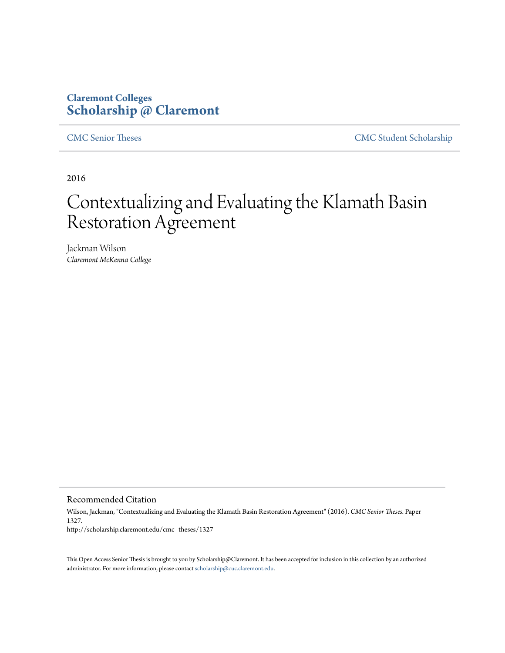# **Claremont Colleges [Scholarship @ Claremont](http://scholarship.claremont.edu)**

[CMC Senior Theses](http://scholarship.claremont.edu/cmc_theses) [CMC Student Scholarship](http://scholarship.claremont.edu/cmc_student)

2016

# Contextualizing and Evaluating the Klamath Basin Restoration Agreement

Jackman Wilson *Claremont McKenna College*

Recommended Citation

Wilson, Jackman, "Contextualizing and Evaluating the Klamath Basin Restoration Agreement" (2016). *CMC Senior Theses.* Paper 1327. http://scholarship.claremont.edu/cmc\_theses/1327

This Open Access Senior Thesis is brought to you by Scholarship@Claremont. It has been accepted for inclusion in this collection by an authorized administrator. For more information, please contact [scholarship@cuc.claremont.edu.](mailto:scholarship@cuc.claremont.edu)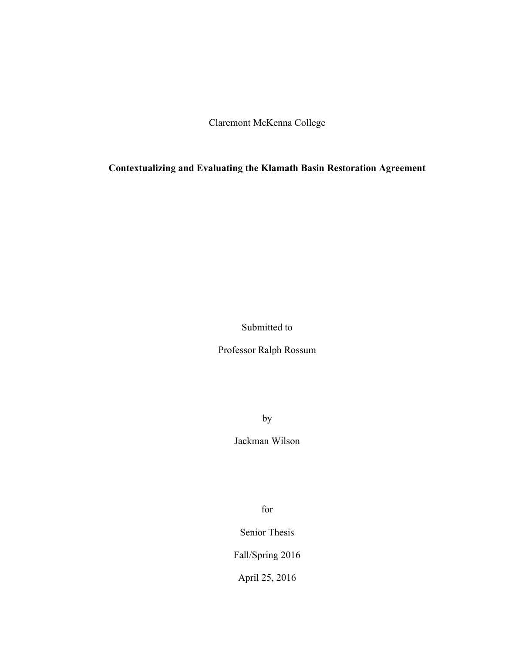Claremont McKenna College

**Contextualizing and Evaluating the Klamath Basin Restoration Agreement**

Submitted to

Professor Ralph Rossum

by

Jackman Wilson

for

Senior Thesis

Fall/Spring 2016

April 25, 2016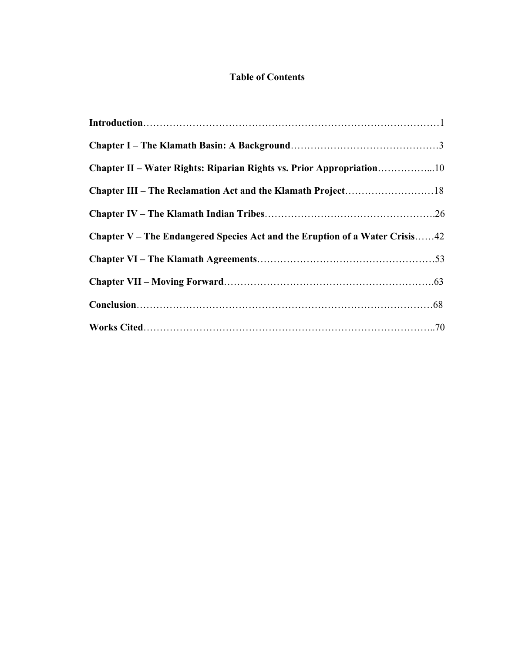# **Table of Contents**

| Chapter II – Water Rights: Riparian Rights vs. Prior Appropriation10        |  |
|-----------------------------------------------------------------------------|--|
|                                                                             |  |
|                                                                             |  |
| Chapter V – The Endangered Species Act and the Eruption of a Water Crisis42 |  |
|                                                                             |  |
|                                                                             |  |
|                                                                             |  |
|                                                                             |  |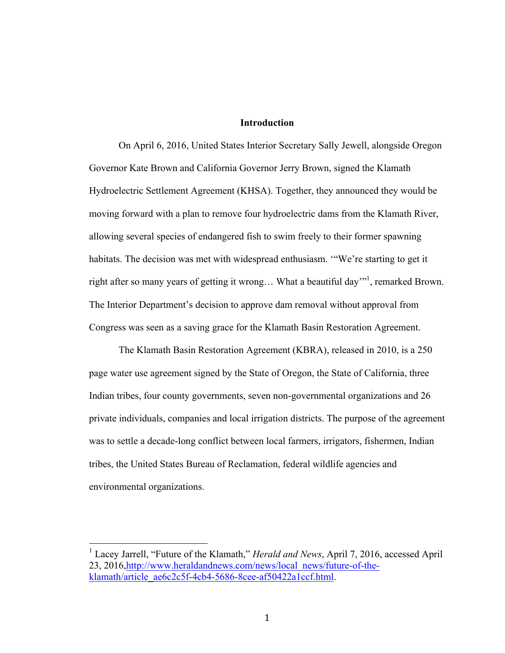# **Introduction**

On April 6, 2016, United States Interior Secretary Sally Jewell, alongside Oregon Governor Kate Brown and California Governor Jerry Brown, signed the Klamath Hydroelectric Settlement Agreement (KHSA). Together, they announced they would be moving forward with a plan to remove four hydroelectric dams from the Klamath River, allowing several species of endangered fish to swim freely to their former spawning habitats. The decision was met with widespread enthusiasm. '"We're starting to get it right after so many years of getting it wrong... What a beautiful day"<sup>1</sup>, remarked Brown. The Interior Department's decision to approve dam removal without approval from Congress was seen as a saving grace for the Klamath Basin Restoration Agreement.

The Klamath Basin Restoration Agreement (KBRA), released in 2010, is a 250 page water use agreement signed by the State of Oregon, the State of California, three Indian tribes, four county governments, seven non-governmental organizations and 26 private individuals, companies and local irrigation districts. The purpose of the agreement was to settle a decade-long conflict between local farmers, irrigators, fishermen, Indian tribes, the United States Bureau of Reclamation, federal wildlife agencies and environmental organizations.

 <sup>1</sup> Lacey Jarrell, "Future of the Klamath," *Herald and News*, April 7, 2016, accessed April 23, 2016,http://www.heraldandnews.com/news/local\_news/future-of-theklamath/article\_ae6c2c5f-4cb4-5686-8cee-af50422a1ccf.html.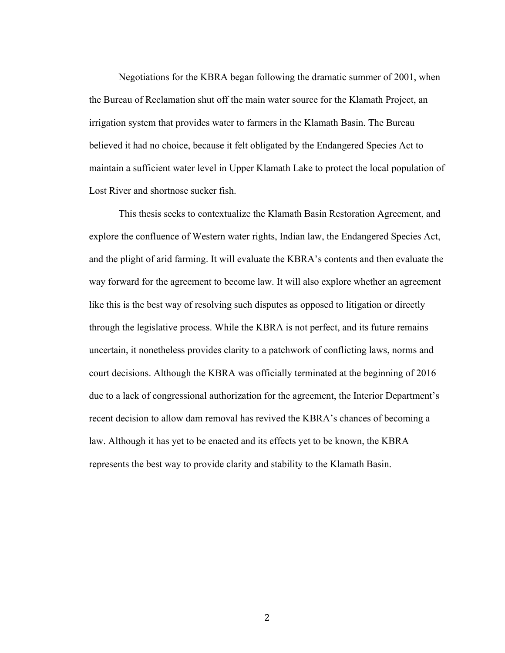Negotiations for the KBRA began following the dramatic summer of 2001, when the Bureau of Reclamation shut off the main water source for the Klamath Project, an irrigation system that provides water to farmers in the Klamath Basin. The Bureau believed it had no choice, because it felt obligated by the Endangered Species Act to maintain a sufficient water level in Upper Klamath Lake to protect the local population of Lost River and shortnose sucker fish.

This thesis seeks to contextualize the Klamath Basin Restoration Agreement, and explore the confluence of Western water rights, Indian law, the Endangered Species Act, and the plight of arid farming. It will evaluate the KBRA's contents and then evaluate the way forward for the agreement to become law. It will also explore whether an agreement like this is the best way of resolving such disputes as opposed to litigation or directly through the legislative process. While the KBRA is not perfect, and its future remains uncertain, it nonetheless provides clarity to a patchwork of conflicting laws, norms and court decisions. Although the KBRA was officially terminated at the beginning of 2016 due to a lack of congressional authorization for the agreement, the Interior Department's recent decision to allow dam removal has revived the KBRA's chances of becoming a law. Although it has yet to be enacted and its effects yet to be known, the KBRA represents the best way to provide clarity and stability to the Klamath Basin.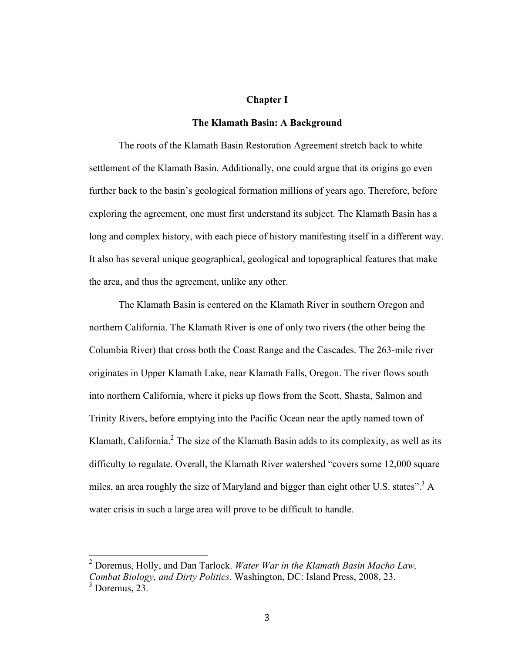#### **Chapter I**

#### **The Klamath Basin: A Background**

The roots of the Klamath Basin Restoration Agreement stretch back to white settlement of the Klamath Basin. Additionally, one could argue that its origins go even further back to the basin's geological formation millions of years ago. Therefore, before exploring the agreement, one must first understand its subject. The Klamath Basin has a long and complex history, with each piece of history manifesting itself in a different way. It also has several unique geographical, geological and topographical features that make the area, and thus the agreement, unlike any other.

The Klamath Basin is centered on the Klamath River in southern Oregon and northern California. The Klamath River is one of only two rivers (the other being the Columbia River) that cross both the Coast Range and the Cascades. The 263-mile river originates in Upper Klamath Lake, near Klamath Falls, Oregon. The river flows south into northern California, where it picks up flows from the Scott, Shasta, Salmon and Trinity Rivers, before emptying into the Pacific Ocean near the aptly named town of Klamath, California.<sup>2</sup> The size of the Klamath Basin adds to its complexity, as well as its difficulty to regulate. Overall, the Klamath River watershed "covers some 12,000 square miles, an area roughly the size of Maryland and bigger than eight other U.S. states".<sup>3</sup> A water crisis in such a large area will prove to be difficult to handle.

 <sup>2</sup> Doremus, Holly, and Dan Tarlock. *Water War in the Klamath Basin Macho Law, Combat Biology, and Dirty Politics*. Washington, DC: Island Press, 2008, 23.  $3$  Doremus, 23.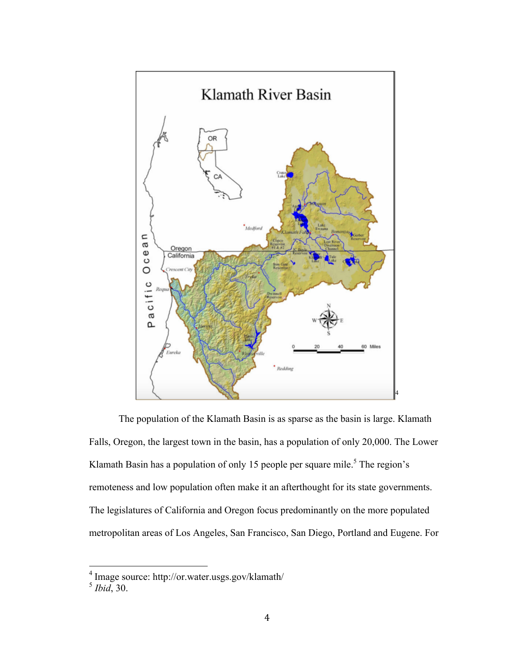

The population of the Klamath Basin is as sparse as the basin is large. Klamath Falls, Oregon, the largest town in the basin, has a population of only 20,000. The Lower Klamath Basin has a population of only 15 people per square mile.<sup>5</sup> The region's remoteness and low population often make it an afterthought for its state governments. The legislatures of California and Oregon focus predominantly on the more populated metropolitan areas of Los Angeles, San Francisco, San Diego, Portland and Eugene. For

 <sup>4</sup> Image source: http://or.water.usgs.gov/klamath/

<sup>5</sup> *Ibid*, 30.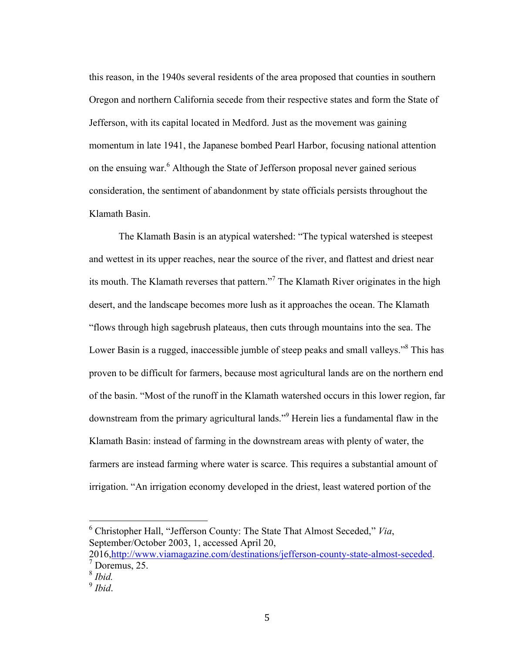this reason, in the 1940s several residents of the area proposed that counties in southern Oregon and northern California secede from their respective states and form the State of Jefferson, with its capital located in Medford. Just as the movement was gaining momentum in late 1941, the Japanese bombed Pearl Harbor, focusing national attention on the ensuing war.<sup>6</sup> Although the State of Jefferson proposal never gained serious consideration, the sentiment of abandonment by state officials persists throughout the Klamath Basin.

The Klamath Basin is an atypical watershed: "The typical watershed is steepest and wettest in its upper reaches, near the source of the river, and flattest and driest near its mouth. The Klamath reverses that pattern."<sup>7</sup> The Klamath River originates in the high desert, and the landscape becomes more lush as it approaches the ocean. The Klamath "flows through high sagebrush plateaus, then cuts through mountains into the sea. The Lower Basin is a rugged, inaccessible jumble of steep peaks and small valleys."<sup>8</sup> This has proven to be difficult for farmers, because most agricultural lands are on the northern end of the basin. "Most of the runoff in the Klamath watershed occurs in this lower region, far downstream from the primary agricultural lands." <sup>9</sup> Herein lies a fundamental flaw in the Klamath Basin: instead of farming in the downstream areas with plenty of water, the farmers are instead farming where water is scarce. This requires a substantial amount of irrigation. "An irrigation economy developed in the driest, least watered portion of the

 <sup>6</sup> Christopher Hall, "Jefferson County: The State That Almost Seceded," *Via*, September/October 2003, 1, accessed April 20,

<sup>2016,</sup> http://www.viamagazine.com/destinations/jefferson-county-state-almost-seceded.<sup>7</sup> Doremus, 25.

<sup>8</sup> *Ibid.*

<sup>9</sup> *Ibid*.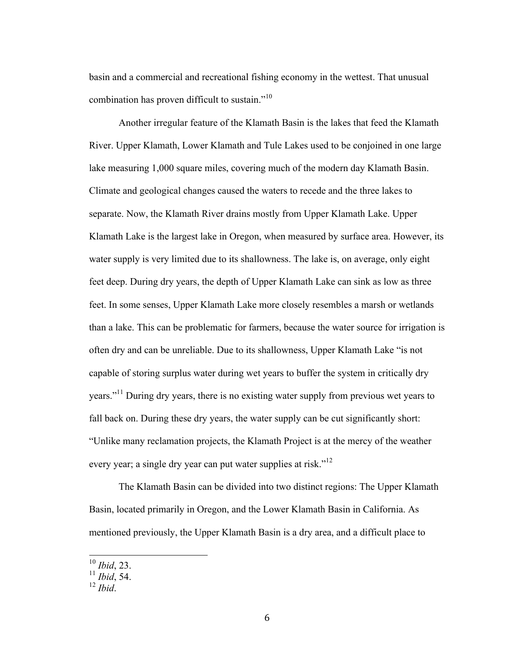basin and a commercial and recreational fishing economy in the wettest. That unusual combination has proven difficult to sustain."<sup>10</sup>

Another irregular feature of the Klamath Basin is the lakes that feed the Klamath River. Upper Klamath, Lower Klamath and Tule Lakes used to be conjoined in one large lake measuring 1,000 square miles, covering much of the modern day Klamath Basin. Climate and geological changes caused the waters to recede and the three lakes to separate. Now, the Klamath River drains mostly from Upper Klamath Lake. Upper Klamath Lake is the largest lake in Oregon, when measured by surface area. However, its water supply is very limited due to its shallowness. The lake is, on average, only eight feet deep. During dry years, the depth of Upper Klamath Lake can sink as low as three feet. In some senses, Upper Klamath Lake more closely resembles a marsh or wetlands than a lake. This can be problematic for farmers, because the water source for irrigation is often dry and can be unreliable. Due to its shallowness, Upper Klamath Lake "is not capable of storing surplus water during wet years to buffer the system in critically dry years."<sup>11</sup> During dry years, there is no existing water supply from previous wet years to fall back on. During these dry years, the water supply can be cut significantly short: "Unlike many reclamation projects, the Klamath Project is at the mercy of the weather every year; a single dry year can put water supplies at risk."<sup>12</sup>

The Klamath Basin can be divided into two distinct regions: The Upper Klamath Basin, located primarily in Oregon, and the Lower Klamath Basin in California. As mentioned previously, the Upper Klamath Basin is a dry area, and a difficult place to

 <sup>10</sup> *Ibid*, 23.

 $^{11}$  *Ibid*, 54.

<sup>12</sup> *Ibid*.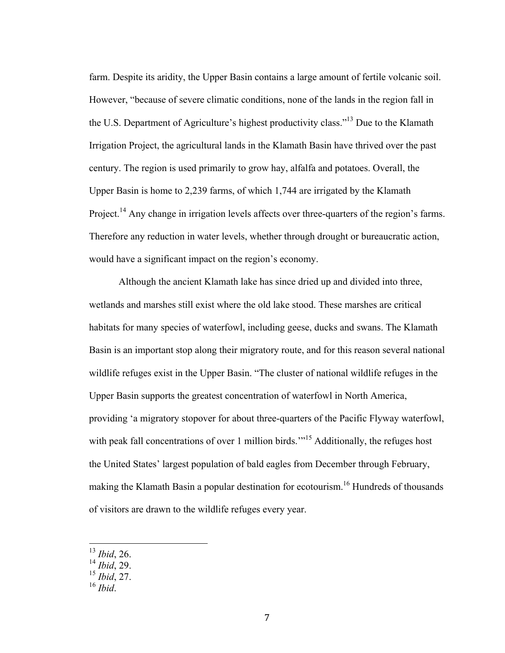farm. Despite its aridity, the Upper Basin contains a large amount of fertile volcanic soil. However, "because of severe climatic conditions, none of the lands in the region fall in the U.S. Department of Agriculture's highest productivity class."<sup>13</sup> Due to the Klamath Irrigation Project, the agricultural lands in the Klamath Basin have thrived over the past century. The region is used primarily to grow hay, alfalfa and potatoes. Overall, the Upper Basin is home to 2,239 farms, of which 1,744 are irrigated by the Klamath Project.<sup>14</sup> Any change in irrigation levels affects over three-quarters of the region's farms. Therefore any reduction in water levels, whether through drought or bureaucratic action, would have a significant impact on the region's economy.

Although the ancient Klamath lake has since dried up and divided into three, wetlands and marshes still exist where the old lake stood. These marshes are critical habitats for many species of waterfowl, including geese, ducks and swans. The Klamath Basin is an important stop along their migratory route, and for this reason several national wildlife refuges exist in the Upper Basin. "The cluster of national wildlife refuges in the Upper Basin supports the greatest concentration of waterfowl in North America, providing 'a migratory stopover for about three-quarters of the Pacific Flyway waterfowl, with peak fall concentrations of over 1 million birds.<sup>"15</sup> Additionally, the refuges host the United States' largest population of bald eagles from December through February, making the Klamath Basin a popular destination for ecotourism.<sup>16</sup> Hundreds of thousands of visitors are drawn to the wildlife refuges every year.

 <sup>13</sup> *Ibid*, 26.

<sup>14</sup> *Ibid*, 29.

<sup>15</sup> *Ibid*, 27.

 $^{16}$  *Ibid*.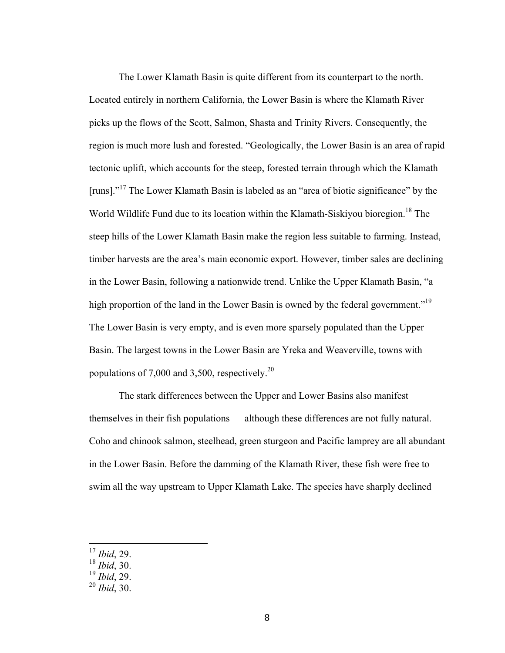The Lower Klamath Basin is quite different from its counterpart to the north. Located entirely in northern California, the Lower Basin is where the Klamath River picks up the flows of the Scott, Salmon, Shasta and Trinity Rivers. Consequently, the region is much more lush and forested. "Geologically, the Lower Basin is an area of rapid tectonic uplift, which accounts for the steep, forested terrain through which the Klamath [runs]."<sup>17</sup> The Lower Klamath Basin is labeled as an "area of biotic significance" by the World Wildlife Fund due to its location within the Klamath-Siskiyou bioregion. <sup>18</sup> The steep hills of the Lower Klamath Basin make the region less suitable to farming. Instead, timber harvests are the area's main economic export. However, timber sales are declining in the Lower Basin, following a nationwide trend. Unlike the Upper Klamath Basin, "a high proportion of the land in the Lower Basin is owned by the federal government."<sup>19</sup> The Lower Basin is very empty, and is even more sparsely populated than the Upper Basin. The largest towns in the Lower Basin are Yreka and Weaverville, towns with populations of 7,000 and 3,500, respectively.<sup>20</sup>

The stark differences between the Upper and Lower Basins also manifest themselves in their fish populations — although these differences are not fully natural. Coho and chinook salmon, steelhead, green sturgeon and Pacific lamprey are all abundant in the Lower Basin. Before the damming of the Klamath River, these fish were free to swim all the way upstream to Upper Klamath Lake. The species have sharply declined

 <sup>17</sup> *Ibid*, 29.

<sup>18</sup> *Ibid*, 30.

<sup>19</sup> *Ibid*, 29.

<sup>20</sup> *Ibid*, 30.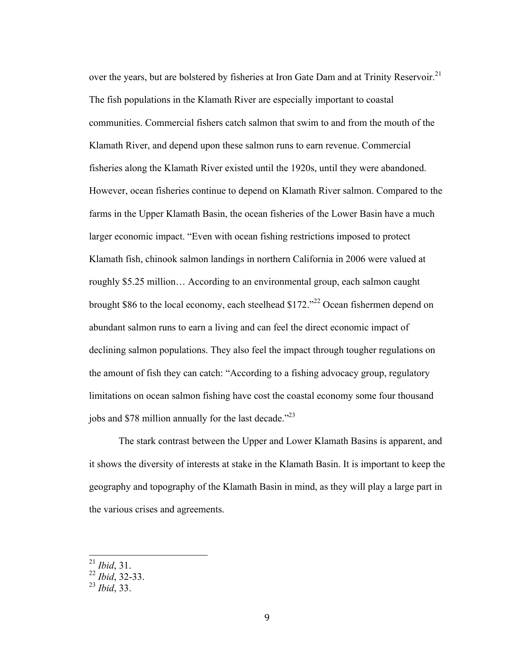over the years, but are bolstered by fisheries at Iron Gate Dam and at Trinity Reservoir.<sup>21</sup> The fish populations in the Klamath River are especially important to coastal communities. Commercial fishers catch salmon that swim to and from the mouth of the Klamath River, and depend upon these salmon runs to earn revenue. Commercial fisheries along the Klamath River existed until the 1920s, until they were abandoned. However, ocean fisheries continue to depend on Klamath River salmon. Compared to the farms in the Upper Klamath Basin, the ocean fisheries of the Lower Basin have a much larger economic impact. "Even with ocean fishing restrictions imposed to protect Klamath fish, chinook salmon landings in northern California in 2006 were valued at roughly \$5.25 million… According to an environmental group, each salmon caught brought \$86 to the local economy, each steelhead \$172."<sup>22</sup> Ocean fishermen depend on abundant salmon runs to earn a living and can feel the direct economic impact of declining salmon populations. They also feel the impact through tougher regulations on the amount of fish they can catch: "According to a fishing advocacy group, regulatory limitations on ocean salmon fishing have cost the coastal economy some four thousand jobs and \$78 million annually for the last decade."<sup>23</sup>

The stark contrast between the Upper and Lower Klamath Basins is apparent, and it shows the diversity of interests at stake in the Klamath Basin. It is important to keep the geography and topography of the Klamath Basin in mind, as they will play a large part in the various crises and agreements.

 <sup>21</sup> *Ibid*, 31.

<sup>22</sup> *Ibid*, 32-33.

<sup>23</sup> *Ibid*, 33.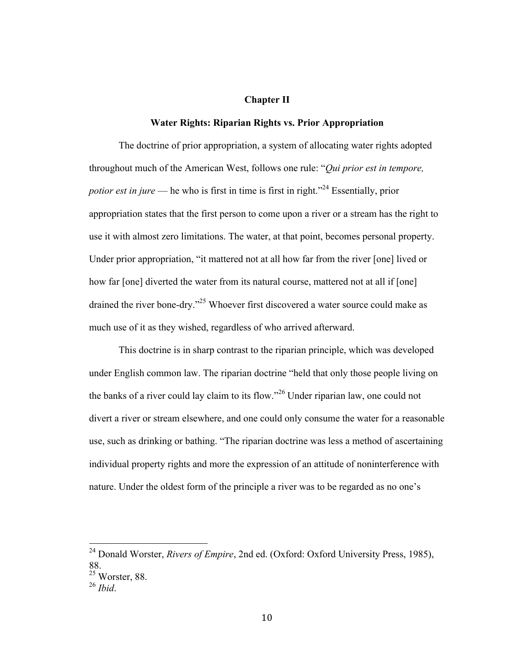#### **Chapter II**

# **Water Rights: Riparian Rights vs. Prior Appropriation**

The doctrine of prior appropriation, a system of allocating water rights adopted throughout much of the American West, follows one rule: "*Qui prior est in tempore, potior est in jure* — he who is first in time is first in right.<sup>"24</sup> Essentially, prior appropriation states that the first person to come upon a river or a stream has the right to use it with almost zero limitations. The water, at that point, becomes personal property. Under prior appropriation, "it mattered not at all how far from the river [one] lived or how far [one] diverted the water from its natural course, mattered not at all if [one] drained the river bone-dry."25 Whoever first discovered a water source could make as much use of it as they wished, regardless of who arrived afterward.

This doctrine is in sharp contrast to the riparian principle, which was developed under English common law. The riparian doctrine "held that only those people living on the banks of a river could lay claim to its flow."<sup>26</sup> Under riparian law, one could not divert a river or stream elsewhere, and one could only consume the water for a reasonable use, such as drinking or bathing. "The riparian doctrine was less a method of ascertaining individual property rights and more the expression of an attitude of noninterference with nature. Under the oldest form of the principle a river was to be regarded as no one's

 <sup>24</sup> Donald Worster, *Rivers of Empire*, 2nd ed. (Oxford: Oxford University Press, 1985), 88.

 $25$  Worster, 88.

<sup>26</sup> *Ibid*.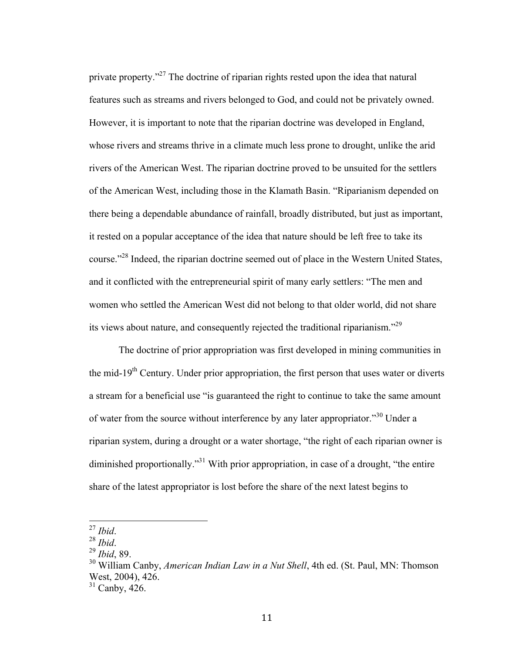private property."<sup>27</sup> The doctrine of riparian rights rested upon the idea that natural features such as streams and rivers belonged to God, and could not be privately owned. However, it is important to note that the riparian doctrine was developed in England, whose rivers and streams thrive in a climate much less prone to drought, unlike the arid rivers of the American West. The riparian doctrine proved to be unsuited for the settlers of the American West, including those in the Klamath Basin. "Riparianism depended on there being a dependable abundance of rainfall, broadly distributed, but just as important, it rested on a popular acceptance of the idea that nature should be left free to take its course."28 Indeed, the riparian doctrine seemed out of place in the Western United States, and it conflicted with the entrepreneurial spirit of many early settlers: "The men and women who settled the American West did not belong to that older world, did not share its views about nature, and consequently rejected the traditional riparianism."<sup>29</sup>

The doctrine of prior appropriation was first developed in mining communities in the mid-19<sup>th</sup> Century. Under prior appropriation, the first person that uses water or diverts a stream for a beneficial use "is guaranteed the right to continue to take the same amount of water from the source without interference by any later appropriator."<sup>30</sup> Under a riparian system, during a drought or a water shortage, "the right of each riparian owner is diminished proportionally.<sup>31</sup> With prior appropriation, in case of a drought, "the entire share of the latest appropriator is lost before the share of the next latest begins to

 <sup>27</sup> *Ibid*. <sup>28</sup> *Ibid*. <sup>29</sup> *Ibid*, 89.

<sup>30</sup> William Canby, *American Indian Law in a Nut Shell*, 4th ed. (St. Paul, MN: Thomson West, 2004), 426.

 $31$  Canby,  $426$ .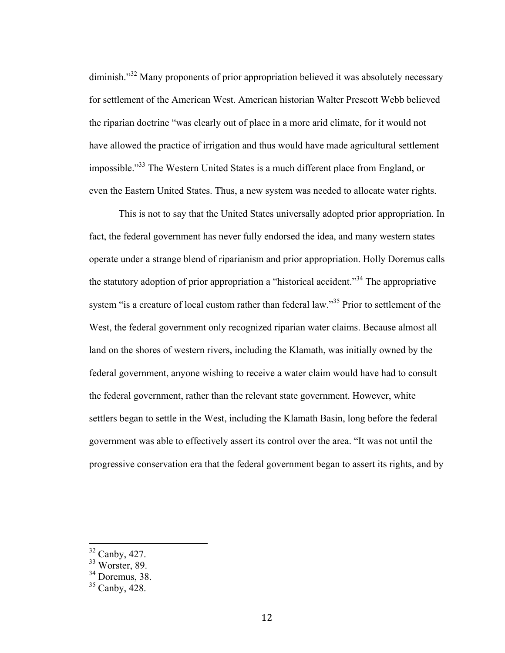diminish."<sup>32</sup> Many proponents of prior appropriation believed it was absolutely necessary for settlement of the American West. American historian Walter Prescott Webb believed the riparian doctrine "was clearly out of place in a more arid climate, for it would not have allowed the practice of irrigation and thus would have made agricultural settlement impossible."33 The Western United States is a much different place from England, or even the Eastern United States. Thus, a new system was needed to allocate water rights.

This is not to say that the United States universally adopted prior appropriation. In fact, the federal government has never fully endorsed the idea, and many western states operate under a strange blend of riparianism and prior appropriation. Holly Doremus calls the statutory adoption of prior appropriation a "historical accident."<sup>34</sup> The appropriative system "is a creature of local custom rather than federal law."<sup>35</sup> Prior to settlement of the West, the federal government only recognized riparian water claims. Because almost all land on the shores of western rivers, including the Klamath, was initially owned by the federal government, anyone wishing to receive a water claim would have had to consult the federal government, rather than the relevant state government. However, white settlers began to settle in the West, including the Klamath Basin, long before the federal government was able to effectively assert its control over the area. "It was not until the progressive conservation era that the federal government began to assert its rights, and by

 <sup>32</sup> Canby, 427.

<sup>33</sup> Worster, 89.

 $34$  Doremus, 38.

 $35$  Canby,  $428$ .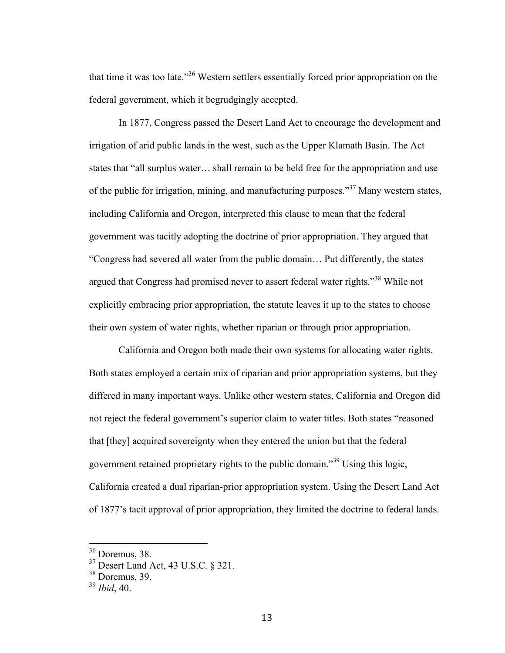that time it was too late."<sup>36</sup> Western settlers essentially forced prior appropriation on the federal government, which it begrudgingly accepted.

In 1877, Congress passed the Desert Land Act to encourage the development and irrigation of arid public lands in the west, such as the Upper Klamath Basin. The Act states that "all surplus water… shall remain to be held free for the appropriation and use of the public for irrigation, mining, and manufacturing purposes."<sup>37</sup> Many western states, including California and Oregon, interpreted this clause to mean that the federal government was tacitly adopting the doctrine of prior appropriation. They argued that "Congress had severed all water from the public domain… Put differently, the states argued that Congress had promised never to assert federal water rights."<sup>38</sup> While not explicitly embracing prior appropriation, the statute leaves it up to the states to choose their own system of water rights, whether riparian or through prior appropriation.

California and Oregon both made their own systems for allocating water rights. Both states employed a certain mix of riparian and prior appropriation systems, but they differed in many important ways. Unlike other western states, California and Oregon did not reject the federal government's superior claim to water titles. Both states "reasoned that [they] acquired sovereignty when they entered the union but that the federal government retained proprietary rights to the public domain."<sup>39</sup> Using this logic, California created a dual riparian-prior appropriation system. Using the Desert Land Act of 1877's tacit approval of prior appropriation, they limited the doctrine to federal lands.

 <sup>36</sup> Doremus, 38.

<sup>37</sup> Desert Land Act, 43 U.S.C. § 321.

 $38$  Doremus, 39.

<sup>39</sup> *Ibid*, 40.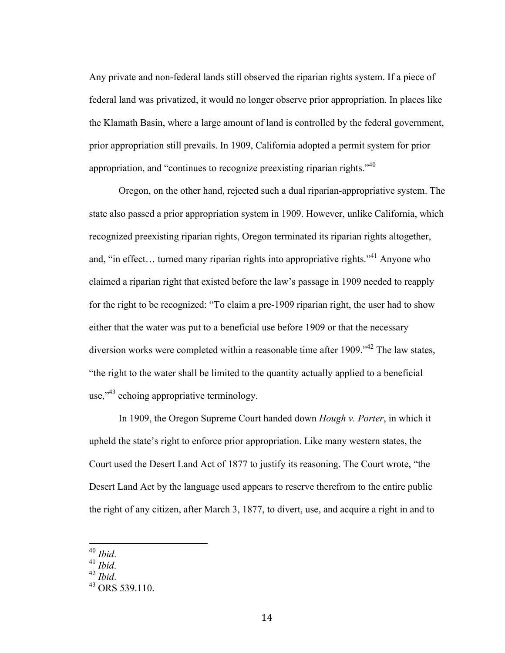Any private and non-federal lands still observed the riparian rights system. If a piece of federal land was privatized, it would no longer observe prior appropriation. In places like the Klamath Basin, where a large amount of land is controlled by the federal government, prior appropriation still prevails. In 1909, California adopted a permit system for prior appropriation, and "continues to recognize preexisting riparian rights." $40$ 

Oregon, on the other hand, rejected such a dual riparian-appropriative system. The state also passed a prior appropriation system in 1909. However, unlike California, which recognized preexisting riparian rights, Oregon terminated its riparian rights altogether, and, "in effect... turned many riparian rights into appropriative rights."<sup>41</sup> Anyone who claimed a riparian right that existed before the law's passage in 1909 needed to reapply for the right to be recognized: "To claim a pre-1909 riparian right, the user had to show either that the water was put to a beneficial use before 1909 or that the necessary diversion works were completed within a reasonable time after 1909.<sup>142</sup> The law states, "the right to the water shall be limited to the quantity actually applied to a beneficial use,"<sup>43</sup> echoing appropriative terminology.

In 1909, the Oregon Supreme Court handed down *Hough v. Porter*, in which it upheld the state's right to enforce prior appropriation. Like many western states, the Court used the Desert Land Act of 1877 to justify its reasoning. The Court wrote, "the Desert Land Act by the language used appears to reserve therefrom to the entire public the right of any citizen, after March 3, 1877, to divert, use, and acquire a right in and to

 <sup>40</sup> *Ibid*. <sup>41</sup> *Ibid*. <sup>42</sup> *Ibid*. <sup>43</sup> ORS 539.110.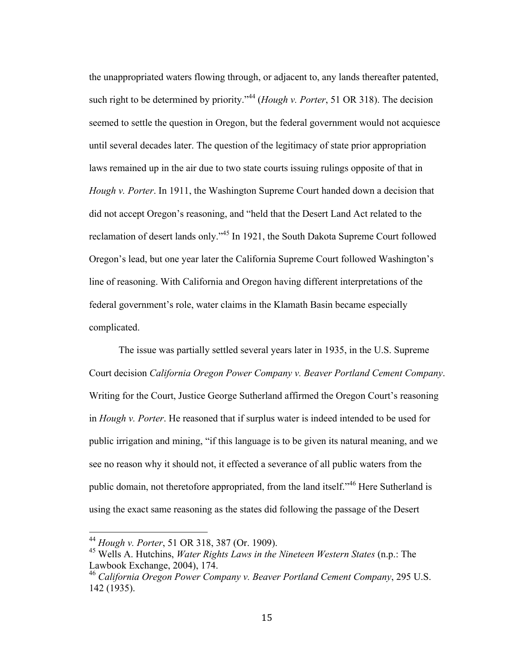the unappropriated waters flowing through, or adjacent to, any lands thereafter patented, such right to be determined by priority."<sup>44</sup> (*Hough v. Porter*, 51 OR 318). The decision seemed to settle the question in Oregon, but the federal government would not acquiesce until several decades later. The question of the legitimacy of state prior appropriation laws remained up in the air due to two state courts issuing rulings opposite of that in *Hough v. Porter*. In 1911, the Washington Supreme Court handed down a decision that did not accept Oregon's reasoning, and "held that the Desert Land Act related to the reclamation of desert lands only."<sup>45</sup> In 1921, the South Dakota Supreme Court followed Oregon's lead, but one year later the California Supreme Court followed Washington's line of reasoning. With California and Oregon having different interpretations of the federal government's role, water claims in the Klamath Basin became especially complicated.

The issue was partially settled several years later in 1935, in the U.S. Supreme Court decision *California Oregon Power Company v. Beaver Portland Cement Company*. Writing for the Court, Justice George Sutherland affirmed the Oregon Court's reasoning in *Hough v. Porter*. He reasoned that if surplus water is indeed intended to be used for public irrigation and mining, "if this language is to be given its natural meaning, and we see no reason why it should not, it effected a severance of all public waters from the public domain, not theretofore appropriated, from the land itself."<sup>46</sup> Here Sutherland is using the exact same reasoning as the states did following the passage of the Desert

 <sup>44</sup> *Hough v. Porter*, 51 OR 318, 387 (Or. 1909).

<sup>45</sup> Wells A. Hutchins, *Water Rights Laws in the Nineteen Western States* (n.p.: The Lawbook Exchange, 2004), 174.<br><sup>46</sup> California Oregon Power Company v. Beaver Portland Cement Company, 295 U.S.

<sup>142 (1935).</sup>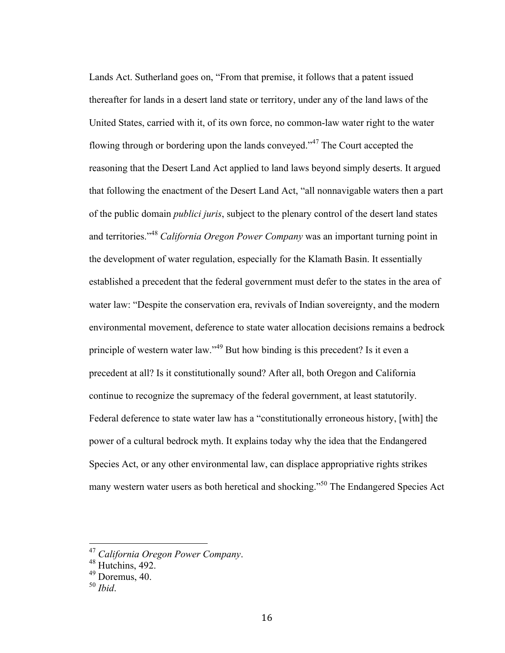Lands Act. Sutherland goes on, "From that premise, it follows that a patent issued thereafter for lands in a desert land state or territory, under any of the land laws of the United States, carried with it, of its own force, no common-law water right to the water flowing through or bordering upon the lands conveyed."<sup> $47$ </sup> The Court accepted the reasoning that the Desert Land Act applied to land laws beyond simply deserts. It argued that following the enactment of the Desert Land Act, "all nonnavigable waters then a part of the public domain *publici juris*, subject to the plenary control of the desert land states and territories." <sup>48</sup> *California Oregon Power Company* was an important turning point in the development of water regulation, especially for the Klamath Basin. It essentially established a precedent that the federal government must defer to the states in the area of water law: "Despite the conservation era, revivals of Indian sovereignty, and the modern environmental movement, deference to state water allocation decisions remains a bedrock principle of western water law."<sup>49</sup> But how binding is this precedent? Is it even a precedent at all? Is it constitutionally sound? After all, both Oregon and California continue to recognize the supremacy of the federal government, at least statutorily. Federal deference to state water law has a "constitutionally erroneous history, [with] the power of a cultural bedrock myth. It explains today why the idea that the Endangered Species Act, or any other environmental law, can displace appropriative rights strikes many western water users as both heretical and shocking."<sup>50</sup> The Endangered Species Act

 <sup>47</sup> *California Oregon Power Company*. <sup>48</sup> Hutchins, 492.

<sup>49</sup> Doremus, 40.

<sup>50</sup> *Ibid*.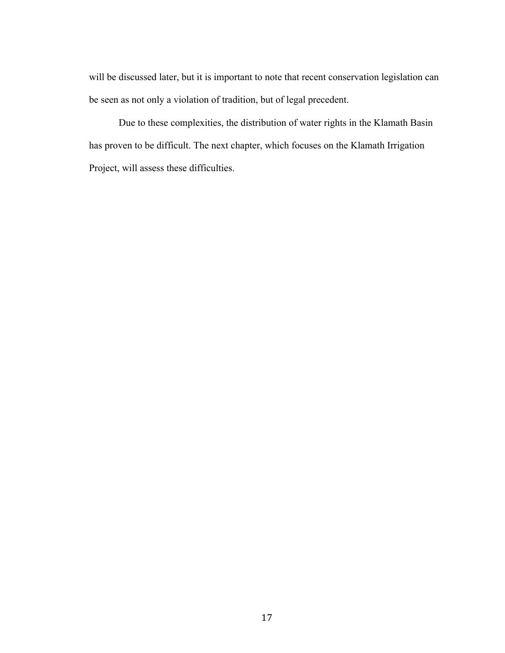will be discussed later, but it is important to note that recent conservation legislation can be seen as not only a violation of tradition, but of legal precedent.

Due to these complexities, the distribution of water rights in the Klamath Basin has proven to be difficult. The next chapter, which focuses on the Klamath Irrigation Project, will assess these difficulties.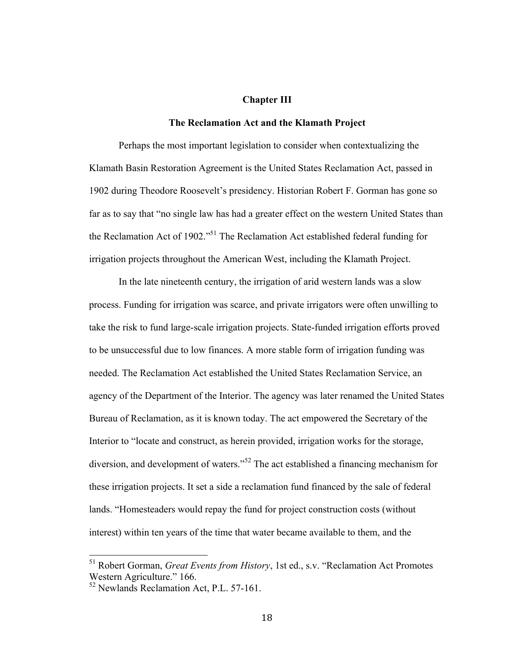#### **Chapter III**

## **The Reclamation Act and the Klamath Project**

Perhaps the most important legislation to consider when contextualizing the Klamath Basin Restoration Agreement is the United States Reclamation Act, passed in 1902 during Theodore Roosevelt's presidency. Historian Robert F. Gorman has gone so far as to say that "no single law has had a greater effect on the western United States than the Reclamation Act of 1902."<sup>51</sup> The Reclamation Act established federal funding for irrigation projects throughout the American West, including the Klamath Project.

In the late nineteenth century, the irrigation of arid western lands was a slow process. Funding for irrigation was scarce, and private irrigators were often unwilling to take the risk to fund large-scale irrigation projects. State-funded irrigation efforts proved to be unsuccessful due to low finances. A more stable form of irrigation funding was needed. The Reclamation Act established the United States Reclamation Service, an agency of the Department of the Interior. The agency was later renamed the United States Bureau of Reclamation, as it is known today. The act empowered the Secretary of the Interior to "locate and construct, as herein provided, irrigation works for the storage, diversion, and development of waters."<sup>52</sup> The act established a financing mechanism for these irrigation projects. It set a side a reclamation fund financed by the sale of federal lands. "Homesteaders would repay the fund for project construction costs (without interest) within ten years of the time that water became available to them, and the

 <sup>51</sup> Robert Gorman, *Great Events from History*, 1st ed., s.v. "Reclamation Act Promotes Western Agriculture." 166.

<sup>52</sup> Newlands Reclamation Act, P.L. 57-161.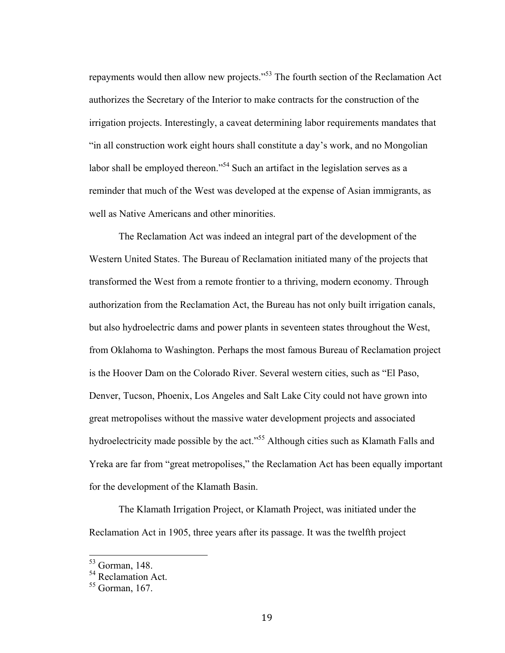repayments would then allow new projects."53 The fourth section of the Reclamation Act authorizes the Secretary of the Interior to make contracts for the construction of the irrigation projects. Interestingly, a caveat determining labor requirements mandates that "in all construction work eight hours shall constitute a day's work, and no Mongolian labor shall be employed thereon."<sup>54</sup> Such an artifact in the legislation serves as a reminder that much of the West was developed at the expense of Asian immigrants, as well as Native Americans and other minorities.

The Reclamation Act was indeed an integral part of the development of the Western United States. The Bureau of Reclamation initiated many of the projects that transformed the West from a remote frontier to a thriving, modern economy. Through authorization from the Reclamation Act, the Bureau has not only built irrigation canals, but also hydroelectric dams and power plants in seventeen states throughout the West, from Oklahoma to Washington. Perhaps the most famous Bureau of Reclamation project is the Hoover Dam on the Colorado River. Several western cities, such as "El Paso, Denver, Tucson, Phoenix, Los Angeles and Salt Lake City could not have grown into great metropolises without the massive water development projects and associated hydroelectricity made possible by the act."<sup>55</sup> Although cities such as Klamath Falls and Yreka are far from "great metropolises," the Reclamation Act has been equally important for the development of the Klamath Basin.

The Klamath Irrigation Project, or Klamath Project, was initiated under the Reclamation Act in 1905, three years after its passage. It was the twelfth project

 <sup>53</sup> Gorman, 148.

 $54$  Reclamation Act.<br> $55$  Gorman, 167.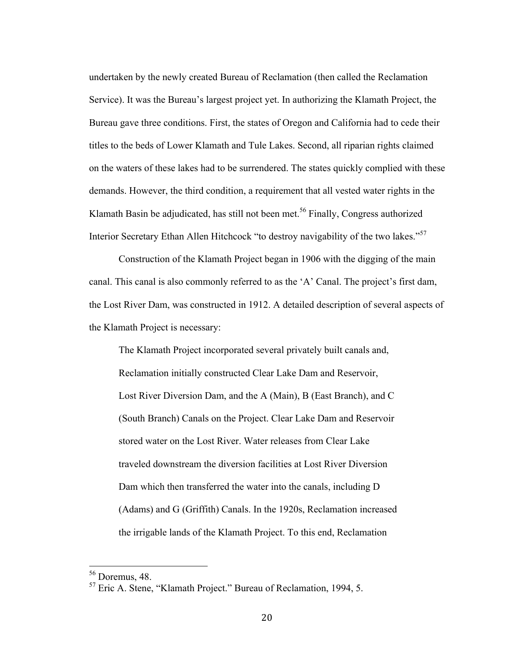undertaken by the newly created Bureau of Reclamation (then called the Reclamation Service). It was the Bureau's largest project yet. In authorizing the Klamath Project, the Bureau gave three conditions. First, the states of Oregon and California had to cede their titles to the beds of Lower Klamath and Tule Lakes. Second, all riparian rights claimed on the waters of these lakes had to be surrendered. The states quickly complied with these demands. However, the third condition, a requirement that all vested water rights in the Klamath Basin be adjudicated, has still not been met.<sup>56</sup> Finally, Congress authorized Interior Secretary Ethan Allen Hitchcock "to destroy navigability of the two lakes."<sup>57</sup>

Construction of the Klamath Project began in 1906 with the digging of the main canal. This canal is also commonly referred to as the 'A' Canal. The project's first dam, the Lost River Dam, was constructed in 1912. A detailed description of several aspects of the Klamath Project is necessary:

The Klamath Project incorporated several privately built canals and, Reclamation initially constructed Clear Lake Dam and Reservoir, Lost River Diversion Dam, and the A (Main), B (East Branch), and C (South Branch) Canals on the Project. Clear Lake Dam and Reservoir stored water on the Lost River. Water releases from Clear Lake traveled downstream the diversion facilities at Lost River Diversion Dam which then transferred the water into the canals, including D (Adams) and G (Griffith) Canals. In the 1920s, Reclamation increased the irrigable lands of the Klamath Project. To this end, Reclamation

 $^{56}$  Doremus, 48.<br> $^{57}$  Eric A. Stene, "Klamath Project." Bureau of Reclamation, 1994, 5.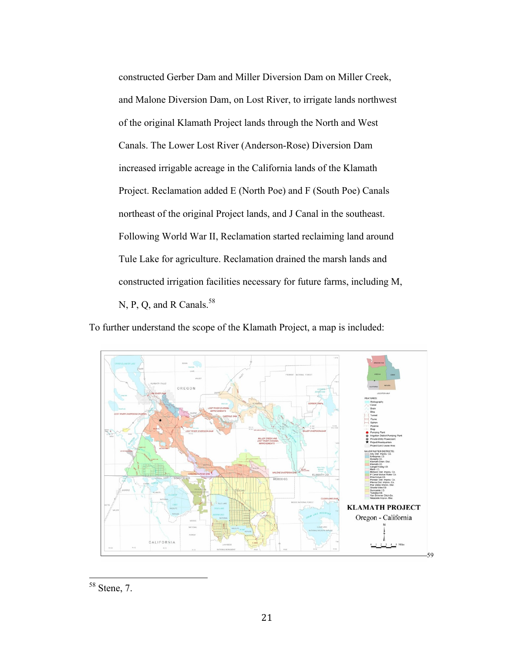constructed Gerber Dam and Miller Diversion Dam on Miller Creek, and Malone Diversion Dam, on Lost River, to irrigate lands northwest of the original Klamath Project lands through the North and West Canals. The Lower Lost River (Anderson-Rose) Diversion Dam increased irrigable acreage in the California lands of the Klamath Project. Reclamation added E (North Poe) and F (South Poe) Canals northeast of the original Project lands, and J Canal in the southeast. Following World War II, Reclamation started reclaiming land around Tule Lake for agriculture. Reclamation drained the marsh lands and constructed irrigation facilities necessary for future farms, including M, N, P, Q, and R Canals.<sup>58</sup>

To further understand the scope of the Klamath Project, a map is included:



 <sup>58</sup> Stene, 7.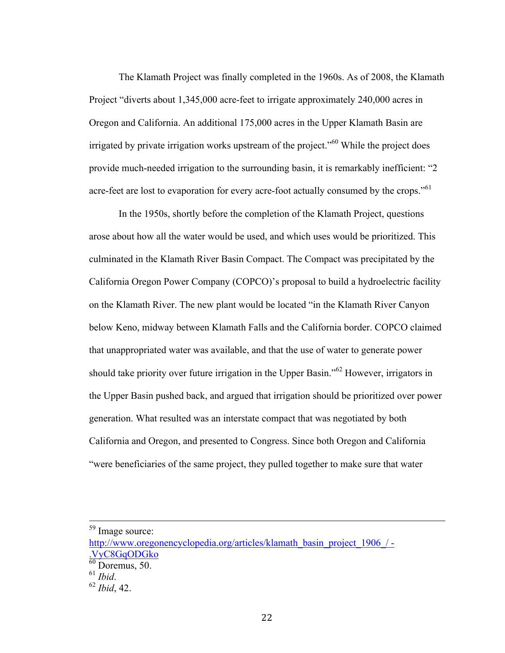The Klamath Project was finally completed in the 1960s. As of 2008, the Klamath Project "diverts about 1,345,000 acre-feet to irrigate approximately 240,000 acres in Oregon and California. An additional 175,000 acres in the Upper Klamath Basin are irrigated by private irrigation works upstream of the project.<sup> $100$ </sup> While the project does provide much-needed irrigation to the surrounding basin, it is remarkably inefficient: "2 acre-feet are lost to evaporation for every acre-foot actually consumed by the crops."<sup>61</sup>

In the 1950s, shortly before the completion of the Klamath Project, questions arose about how all the water would be used, and which uses would be prioritized. This culminated in the Klamath River Basin Compact. The Compact was precipitated by the California Oregon Power Company (COPCO)'s proposal to build a hydroelectric facility on the Klamath River. The new plant would be located "in the Klamath River Canyon below Keno, midway between Klamath Falls and the California border. COPCO claimed that unappropriated water was available, and that the use of water to generate power should take priority over future irrigation in the Upper Basin."<sup>62</sup> However, irrigators in the Upper Basin pushed back, and argued that irrigation should be prioritized over power generation. What resulted was an interstate compact that was negotiated by both California and Oregon, and presented to Congress. Since both Oregon and California "were beneficiaries of the same project, they pulled together to make sure that water

 <sup>59</sup> Image source:

http://www.oregonencyclopedia.org/articles/klamath\_basin\_project\_1906\_/ -.VyC8GqODGko

 $\frac{60}{60}$  Doremus, 50.

<sup>61</sup> *Ibid*. <sup>62</sup> *Ibid*, 42.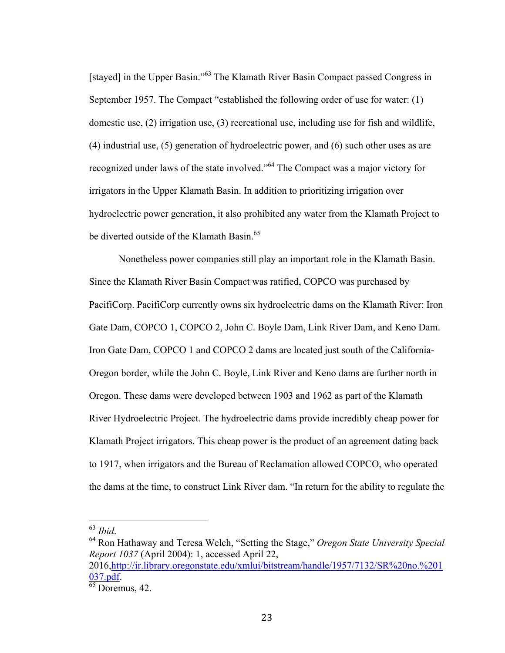[stayed] in the Upper Basin."<sup>63</sup> The Klamath River Basin Compact passed Congress in September 1957. The Compact "established the following order of use for water: (1) domestic use, (2) irrigation use, (3) recreational use, including use for fish and wildlife, (4) industrial use, (5) generation of hydroelectric power, and (6) such other uses as are recognized under laws of the state involved."<sup>64</sup> The Compact was a major victory for irrigators in the Upper Klamath Basin. In addition to prioritizing irrigation over hydroelectric power generation, it also prohibited any water from the Klamath Project to be diverted outside of the Klamath Basin.<sup>65</sup>

Nonetheless power companies still play an important role in the Klamath Basin. Since the Klamath River Basin Compact was ratified, COPCO was purchased by PacifiCorp. PacifiCorp currently owns six hydroelectric dams on the Klamath River: Iron Gate Dam, COPCO 1, COPCO 2, John C. Boyle Dam, Link River Dam, and Keno Dam. Iron Gate Dam, COPCO 1 and COPCO 2 dams are located just south of the California-Oregon border, while the John C. Boyle, Link River and Keno dams are further north in Oregon. These dams were developed between 1903 and 1962 as part of the Klamath River Hydroelectric Project. The hydroelectric dams provide incredibly cheap power for Klamath Project irrigators. This cheap power is the product of an agreement dating back to 1917, when irrigators and the Bureau of Reclamation allowed COPCO, who operated the dams at the time, to construct Link River dam. "In return for the ability to regulate the

 <sup>63</sup> *Ibid*. <sup>64</sup> Ron Hathaway and Teresa Welch, "Setting the Stage," *Oregon State University Special Report 1037* (April 2004): 1, accessed April 22, 2016,http://ir.library.oregonstate.edu/xmlui/bitstream/handle/1957/7132/SR%20no.%201  $\frac{037.pdf.}{65}$  Doremus, 42.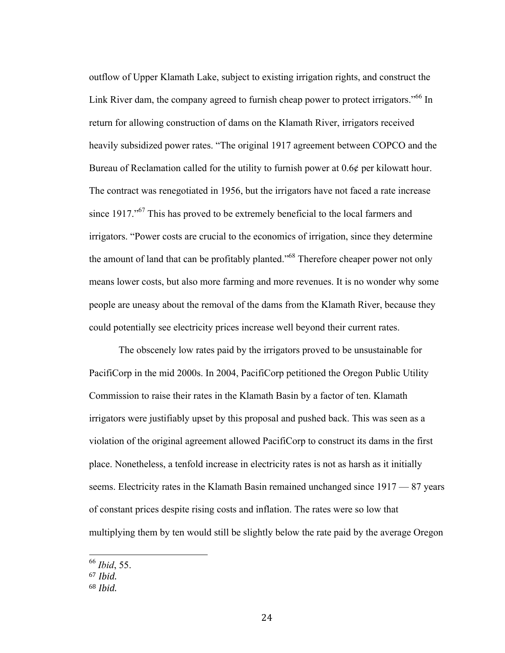outflow of Upper Klamath Lake, subject to existing irrigation rights, and construct the Link River dam, the company agreed to furnish cheap power to protect irrigators."<sup>66</sup> In return for allowing construction of dams on the Klamath River, irrigators received heavily subsidized power rates. "The original 1917 agreement between COPCO and the Bureau of Reclamation called for the utility to furnish power at 0.6¢ per kilowatt hour. The contract was renegotiated in 1956, but the irrigators have not faced a rate increase since 1917."<sup>67</sup> This has proved to be extremely beneficial to the local farmers and irrigators. "Power costs are crucial to the economics of irrigation, since they determine the amount of land that can be profitably planted.<sup>568</sup> Therefore cheaper power not only means lower costs, but also more farming and more revenues. It is no wonder why some people are uneasy about the removal of the dams from the Klamath River, because they could potentially see electricity prices increase well beyond their current rates.

The obscenely low rates paid by the irrigators proved to be unsustainable for PacifiCorp in the mid 2000s. In 2004, PacifiCorp petitioned the Oregon Public Utility Commission to raise their rates in the Klamath Basin by a factor of ten. Klamath irrigators were justifiably upset by this proposal and pushed back. This was seen as a violation of the original agreement allowed PacifiCorp to construct its dams in the first place. Nonetheless, a tenfold increase in electricity rates is not as harsh as it initially seems. Electricity rates in the Klamath Basin remained unchanged since 1917 — 87 years of constant prices despite rising costs and inflation. The rates were so low that multiplying them by ten would still be slightly below the rate paid by the average Oregon

 <sup>66</sup> *Ibid*, 55.

<sup>67</sup> *Ibid*.

<sup>68</sup> *Ibid*.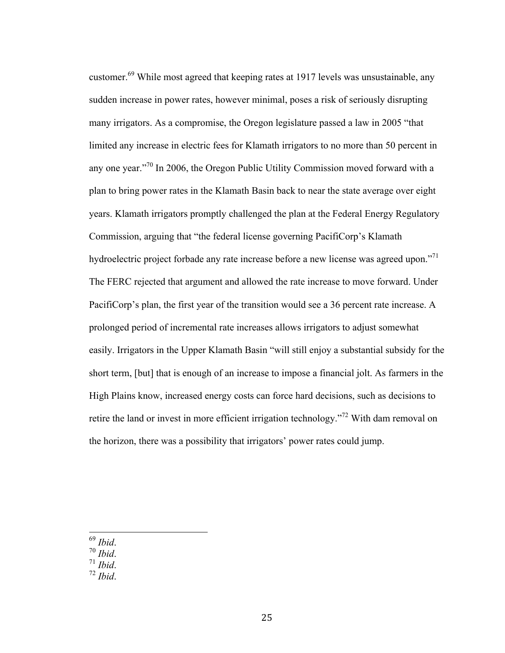customer.<sup>69</sup> While most agreed that keeping rates at 1917 levels was unsustainable, any sudden increase in power rates, however minimal, poses a risk of seriously disrupting many irrigators. As a compromise, the Oregon legislature passed a law in 2005 "that limited any increase in electric fees for Klamath irrigators to no more than 50 percent in any one year."<sup>70</sup> In 2006, the Oregon Public Utility Commission moved forward with a plan to bring power rates in the Klamath Basin back to near the state average over eight years. Klamath irrigators promptly challenged the plan at the Federal Energy Regulatory Commission, arguing that "the federal license governing PacifiCorp's Klamath hydroelectric project forbade any rate increase before a new license was agreed upon."<sup>71</sup> The FERC rejected that argument and allowed the rate increase to move forward. Under PacifiCorp's plan, the first year of the transition would see a 36 percent rate increase. A prolonged period of incremental rate increases allows irrigators to adjust somewhat easily. Irrigators in the Upper Klamath Basin "will still enjoy a substantial subsidy for the short term, [but] that is enough of an increase to impose a financial jolt. As farmers in the High Plains know, increased energy costs can force hard decisions, such as decisions to retire the land or invest in more efficient irrigation technology."<sup>72</sup> With dam removal on the horizon, there was a possibility that irrigators' power rates could jump.

- 
- <sup>69</sup> *Ibid*. <sup>70</sup> *Ibid*. <sup>71</sup> *Ibid*. <sup>72</sup> *Ibid*.
- 
-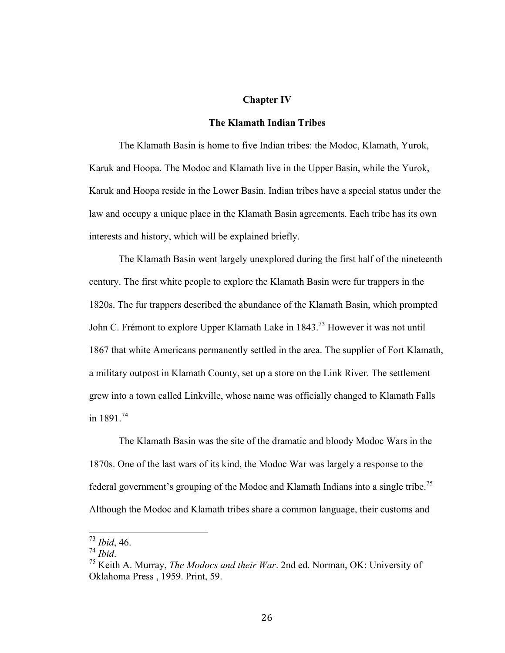#### **Chapter IV**

## **The Klamath Indian Tribes**

The Klamath Basin is home to five Indian tribes: the Modoc, Klamath, Yurok, Karuk and Hoopa. The Modoc and Klamath live in the Upper Basin, while the Yurok, Karuk and Hoopa reside in the Lower Basin. Indian tribes have a special status under the law and occupy a unique place in the Klamath Basin agreements. Each tribe has its own interests and history, which will be explained briefly.

The Klamath Basin went largely unexplored during the first half of the nineteenth century. The first white people to explore the Klamath Basin were fur trappers in the 1820s. The fur trappers described the abundance of the Klamath Basin, which prompted John C. Frémont to explore Upper Klamath Lake in 1843.<sup>73</sup> However it was not until 1867 that white Americans permanently settled in the area. The supplier of Fort Klamath, a military outpost in Klamath County, set up a store on the Link River. The settlement grew into a town called Linkville, whose name was officially changed to Klamath Falls in 1891 $^{74}$ 

The Klamath Basin was the site of the dramatic and bloody Modoc Wars in the 1870s. One of the last wars of its kind, the Modoc War was largely a response to the federal government's grouping of the Modoc and Klamath Indians into a single tribe.<sup>75</sup> Although the Modoc and Klamath tribes share a common language, their customs and

 <sup>73</sup> *Ibid*, 46.

<sup>&</sup>lt;sup>75</sup> Keith A. Murray, *The Modocs and their War*. 2nd ed. Norman, OK: University of Oklahoma Press , 1959. Print, 59.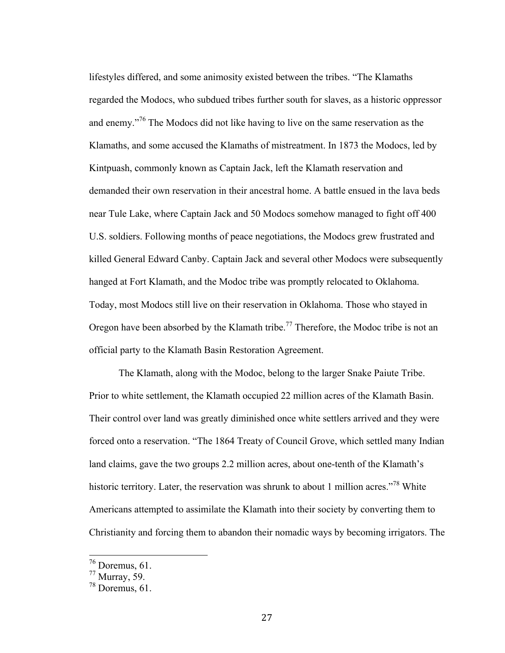lifestyles differed, and some animosity existed between the tribes. "The Klamaths regarded the Modocs, who subdued tribes further south for slaves, as a historic oppressor and enemy."<sup>76</sup> The Modocs did not like having to live on the same reservation as the Klamaths, and some accused the Klamaths of mistreatment. In 1873 the Modocs, led by Kintpuash, commonly known as Captain Jack, left the Klamath reservation and demanded their own reservation in their ancestral home. A battle ensued in the lava beds near Tule Lake, where Captain Jack and 50 Modocs somehow managed to fight off 400 U.S. soldiers. Following months of peace negotiations, the Modocs grew frustrated and killed General Edward Canby. Captain Jack and several other Modocs were subsequently hanged at Fort Klamath, and the Modoc tribe was promptly relocated to Oklahoma. Today, most Modocs still live on their reservation in Oklahoma. Those who stayed in Oregon have been absorbed by the Klamath tribe.<sup>77</sup> Therefore, the Modoc tribe is not an official party to the Klamath Basin Restoration Agreement.

The Klamath, along with the Modoc, belong to the larger Snake Paiute Tribe. Prior to white settlement, the Klamath occupied 22 million acres of the Klamath Basin. Their control over land was greatly diminished once white settlers arrived and they were forced onto a reservation. "The 1864 Treaty of Council Grove, which settled many Indian land claims, gave the two groups 2.2 million acres, about one-tenth of the Klamath's historic territory. Later, the reservation was shrunk to about 1 million acres."<sup>78</sup> White Americans attempted to assimilate the Klamath into their society by converting them to Christianity and forcing them to abandon their nomadic ways by becoming irrigators. The

 <sup>76</sup> Doremus, 61.

 $77$  Murray, 59.

 $78$  Doremus, 61.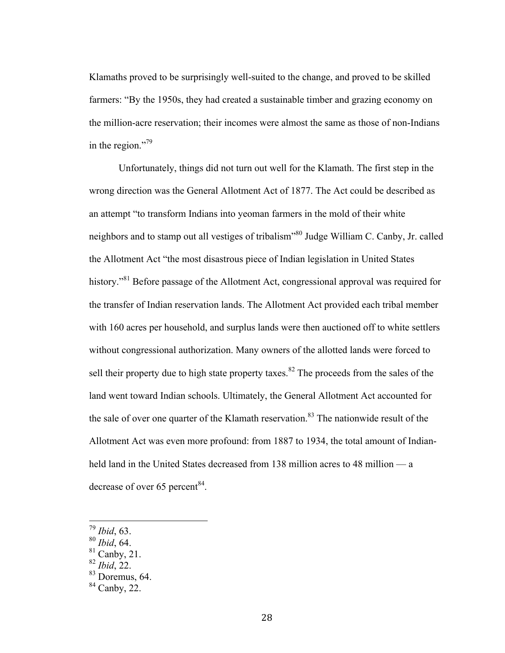Klamaths proved to be surprisingly well-suited to the change, and proved to be skilled farmers: "By the 1950s, they had created a sustainable timber and grazing economy on the million-acre reservation; their incomes were almost the same as those of non-Indians in the region."<sup>79</sup>

Unfortunately, things did not turn out well for the Klamath. The first step in the wrong direction was the General Allotment Act of 1877. The Act could be described as an attempt "to transform Indians into yeoman farmers in the mold of their white neighbors and to stamp out all vestiges of tribalism"80 Judge William C. Canby, Jr. called the Allotment Act "the most disastrous piece of Indian legislation in United States history."<sup>81</sup> Before passage of the Allotment Act, congressional approval was required for the transfer of Indian reservation lands. The Allotment Act provided each tribal member with 160 acres per household, and surplus lands were then auctioned off to white settlers without congressional authorization. Many owners of the allotted lands were forced to sell their property due to high state property taxes.<sup>82</sup> The proceeds from the sales of the land went toward Indian schools. Ultimately, the General Allotment Act accounted for the sale of over one quarter of the Klamath reservation.<sup>83</sup> The nationwide result of the Allotment Act was even more profound: from 1887 to 1934, the total amount of Indianheld land in the United States decreased from 138 million acres to 48 million — a decrease of over 65 percent  $84$ .

 <sup>79</sup> *Ibid*, 63.

<sup>80</sup> *Ibid*, 64.

 $81$  Canby, 21.

<sup>82</sup> *Ibid*, 22.

 $83$  Doremus, 64.

 $84$  Canby, 22.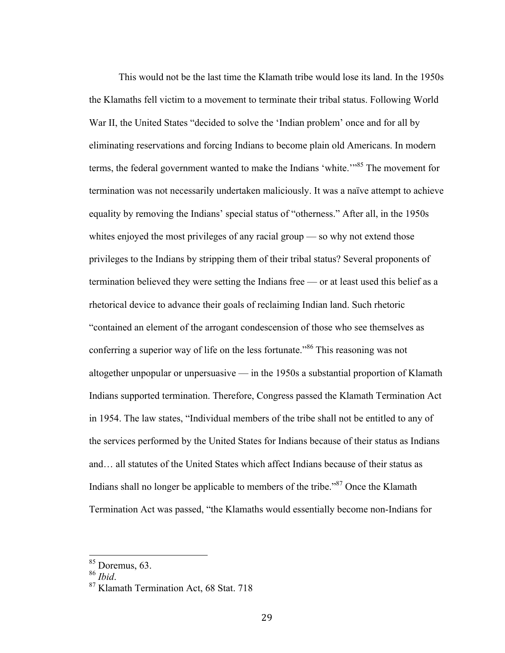This would not be the last time the Klamath tribe would lose its land. In the 1950s the Klamaths fell victim to a movement to terminate their tribal status. Following World War II, the United States "decided to solve the 'Indian problem' once and for all by eliminating reservations and forcing Indians to become plain old Americans. In modern terms, the federal government wanted to make the Indians 'white.'"<sup>85</sup> The movement for termination was not necessarily undertaken maliciously. It was a naïve attempt to achieve equality by removing the Indians' special status of "otherness." After all, in the 1950s whites enjoyed the most privileges of any racial group — so why not extend those privileges to the Indians by stripping them of their tribal status? Several proponents of termination believed they were setting the Indians free — or at least used this belief as a rhetorical device to advance their goals of reclaiming Indian land. Such rhetoric "contained an element of the arrogant condescension of those who see themselves as conferring a superior way of life on the less fortunate."<sup>86</sup> This reasoning was not

altogether unpopular or unpersuasive — in the 1950s a substantial proportion of Klamath Indians supported termination. Therefore, Congress passed the Klamath Termination Act in 1954. The law states, "Individual members of the tribe shall not be entitled to any of the services performed by the United States for Indians because of their status as Indians and… all statutes of the United States which affect Indians because of their status as Indians shall no longer be applicable to members of the tribe.<sup>87</sup> Once the Klamath Termination Act was passed, "the Klamaths would essentially become non-Indians for

 $\frac{85}{86}$  Doremus, 63.<br> $\frac{86}{16}$ 

<sup>&</sup>lt;sup>87</sup> Klamath Termination Act, 68 Stat. 718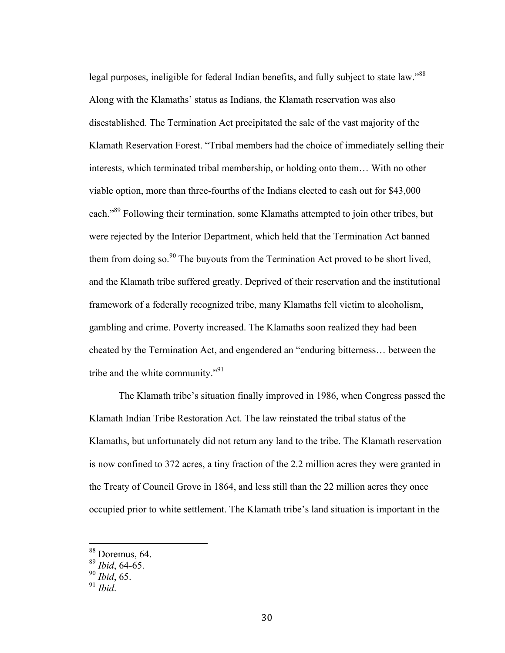legal purposes, ineligible for federal Indian benefits, and fully subject to state law."<sup>88</sup> Along with the Klamaths' status as Indians, the Klamath reservation was also disestablished. The Termination Act precipitated the sale of the vast majority of the Klamath Reservation Forest. "Tribal members had the choice of immediately selling their interests, which terminated tribal membership, or holding onto them… With no other viable option, more than three-fourths of the Indians elected to cash out for \$43,000 each."<sup>89</sup> Following their termination, some Klamaths attempted to join other tribes, but were rejected by the Interior Department, which held that the Termination Act banned them from doing so.<sup>90</sup> The buyouts from the Termination Act proved to be short lived, and the Klamath tribe suffered greatly. Deprived of their reservation and the institutional framework of a federally recognized tribe, many Klamaths fell victim to alcoholism, gambling and crime. Poverty increased. The Klamaths soon realized they had been cheated by the Termination Act, and engendered an "enduring bitterness… between the tribe and the white community."<sup>91</sup>

The Klamath tribe's situation finally improved in 1986, when Congress passed the Klamath Indian Tribe Restoration Act. The law reinstated the tribal status of the Klamaths, but unfortunately did not return any land to the tribe. The Klamath reservation is now confined to 372 acres, a tiny fraction of the 2.2 million acres they were granted in the Treaty of Council Grove in 1864, and less still than the 22 million acres they once occupied prior to white settlement. The Klamath tribe's land situation is important in the

 <sup>88</sup> Doremus, 64.

<sup>89</sup> *Ibid*, 64-65.

<sup>90</sup> *Ibid*, 65.

<sup>91</sup> *Ibid*.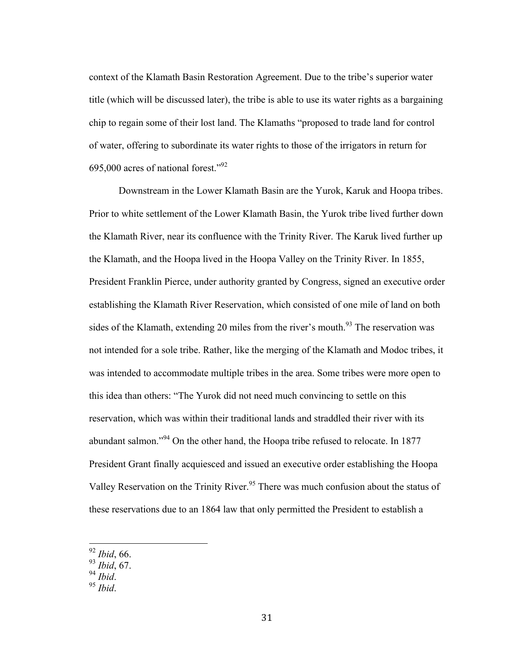context of the Klamath Basin Restoration Agreement. Due to the tribe's superior water title (which will be discussed later), the tribe is able to use its water rights as a bargaining chip to regain some of their lost land. The Klamaths "proposed to trade land for control of water, offering to subordinate its water rights to those of the irrigators in return for 695,000 acres of national forest." 92

Downstream in the Lower Klamath Basin are the Yurok, Karuk and Hoopa tribes. Prior to white settlement of the Lower Klamath Basin, the Yurok tribe lived further down the Klamath River, near its confluence with the Trinity River. The Karuk lived further up the Klamath, and the Hoopa lived in the Hoopa Valley on the Trinity River. In 1855, President Franklin Pierce, under authority granted by Congress, signed an executive order establishing the Klamath River Reservation, which consisted of one mile of land on both sides of the Klamath, extending 20 miles from the river's mouth.<sup>93</sup> The reservation was not intended for a sole tribe. Rather, like the merging of the Klamath and Modoc tribes, it was intended to accommodate multiple tribes in the area. Some tribes were more open to this idea than others: "The Yurok did not need much convincing to settle on this reservation, which was within their traditional lands and straddled their river with its abundant salmon."<sup>94</sup> On the other hand, the Hoopa tribe refused to relocate. In 1877 President Grant finally acquiesced and issued an executive order establishing the Hoopa Valley Reservation on the Trinity River.<sup>95</sup> There was much confusion about the status of these reservations due to an 1864 law that only permitted the President to establish a

 <sup>92</sup> *Ibid*, 66.

<sup>93</sup> *Ibid*, 67.

<sup>94</sup> *Ibid*. <sup>95</sup> *Ibid*.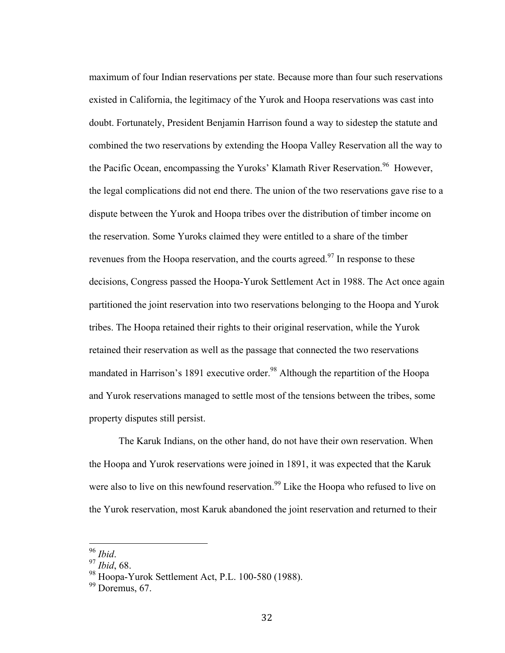maximum of four Indian reservations per state. Because more than four such reservations existed in California, the legitimacy of the Yurok and Hoopa reservations was cast into doubt. Fortunately, President Benjamin Harrison found a way to sidestep the statute and combined the two reservations by extending the Hoopa Valley Reservation all the way to the Pacific Ocean, encompassing the Yuroks' Klamath River Reservation.<sup>96</sup> However, the legal complications did not end there. The union of the two reservations gave rise to a dispute between the Yurok and Hoopa tribes over the distribution of timber income on the reservation. Some Yuroks claimed they were entitled to a share of the timber revenues from the Hoopa reservation, and the courts agreed.<sup>97</sup> In response to these decisions, Congress passed the Hoopa-Yurok Settlement Act in 1988. The Act once again partitioned the joint reservation into two reservations belonging to the Hoopa and Yurok tribes. The Hoopa retained their rights to their original reservation, while the Yurok retained their reservation as well as the passage that connected the two reservations mandated in Harrison's 1891 executive order.<sup>98</sup> Although the repartition of the Hoopa and Yurok reservations managed to settle most of the tensions between the tribes, some property disputes still persist.

The Karuk Indians, on the other hand, do not have their own reservation. When the Hoopa and Yurok reservations were joined in 1891, it was expected that the Karuk were also to live on this newfound reservation.<sup>99</sup> Like the Hoopa who refused to live on the Yurok reservation, most Karuk abandoned the joint reservation and returned to their

 <sup>96</sup> *Ibid*. <sup>97</sup> *Ibid*, 68.

<sup>98</sup> Hoopa-Yurok Settlement Act, P.L. 100-580 (1988).

 $99$  Doremus, 67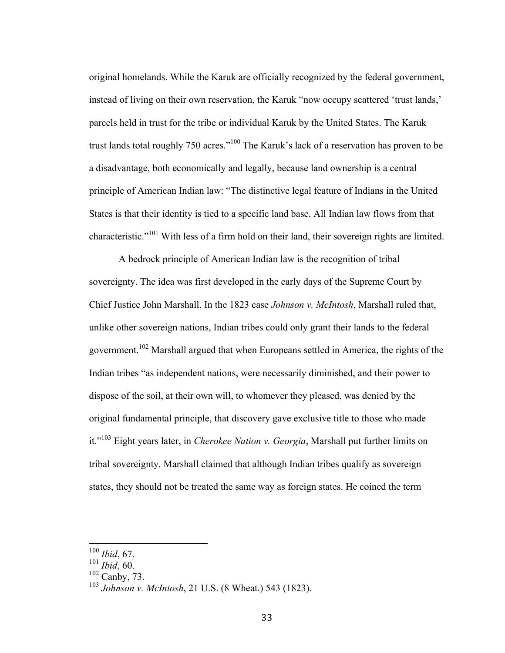original homelands. While the Karuk are officially recognized by the federal government, instead of living on their own reservation, the Karuk "now occupy scattered 'trust lands,' parcels held in trust for the tribe or individual Karuk by the United States. The Karuk trust lands total roughly 750 acres."<sup>100</sup> The Karuk's lack of a reservation has proven to be a disadvantage, both economically and legally, because land ownership is a central principle of American Indian law: "The distinctive legal feature of Indians in the United States is that their identity is tied to a specific land base. All Indian law flows from that characteristic."<sup>101</sup> With less of a firm hold on their land, their sovereign rights are limited.

A bedrock principle of American Indian law is the recognition of tribal sovereignty. The idea was first developed in the early days of the Supreme Court by Chief Justice John Marshall. In the 1823 case *Johnson v. McIntosh*, Marshall ruled that, unlike other sovereign nations, Indian tribes could only grant their lands to the federal government.<sup>102</sup> Marshall argued that when Europeans settled in America, the rights of the Indian tribes "as independent nations, were necessarily diminished, and their power to dispose of the soil, at their own will, to whomever they pleased, was denied by the original fundamental principle, that discovery gave exclusive title to those who made it." <sup>103</sup> Eight years later, in *Cherokee Nation v. Georgia*, Marshall put further limits on tribal sovereignty. Marshall claimed that although Indian tribes qualify as sovereign states, they should not be treated the same way as foreign states. He coined the term

 <sup>100</sup> *Ibid*, 67.

<sup>101</sup> *Ibid*, 60.

 $102$  Canby, 73.

<sup>103</sup> *Johnson v. McIntosh*, 21 U.S. (8 Wheat.) 543 (1823).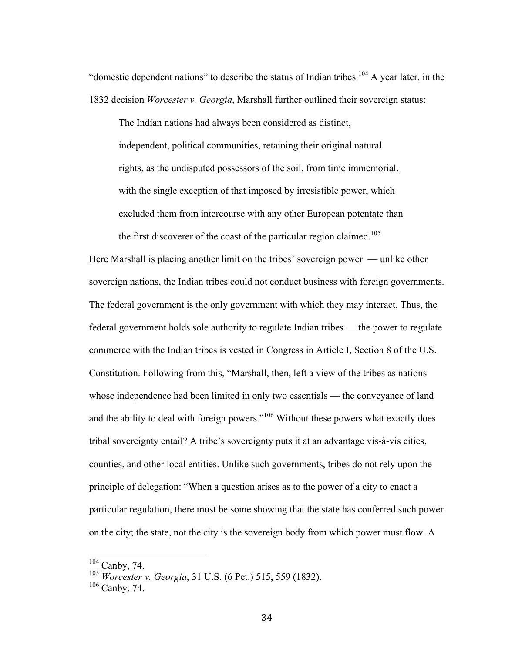"domestic dependent nations" to describe the status of Indian tribes.<sup>104</sup> A year later, in the 1832 decision *Worcester v. Georgia*, Marshall further outlined their sovereign status:

The Indian nations had always been considered as distinct, independent, political communities, retaining their original natural rights, as the undisputed possessors of the soil, from time immemorial, with the single exception of that imposed by irresistible power, which excluded them from intercourse with any other European potentate than the first discoverer of the coast of the particular region claimed.<sup>105</sup>

Here Marshall is placing another limit on the tribes' sovereign power — unlike other sovereign nations, the Indian tribes could not conduct business with foreign governments. The federal government is the only government with which they may interact. Thus, the federal government holds sole authority to regulate Indian tribes — the power to regulate commerce with the Indian tribes is vested in Congress in Article I, Section 8 of the U.S. Constitution. Following from this, "Marshall, then, left a view of the tribes as nations whose independence had been limited in only two essentials — the conveyance of land and the ability to deal with foreign powers."<sup>106</sup> Without these powers what exactly does tribal sovereignty entail? A tribe's sovereignty puts it at an advantage vis-à-vis cities, counties, and other local entities. Unlike such governments, tribes do not rely upon the principle of delegation: "When a question arises as to the power of a city to enact a particular regulation, there must be some showing that the state has conferred such power on the city; the state, not the city is the sovereign body from which power must flow. A

 <sup>104</sup> Canby, 74.

<sup>105</sup> *Worcester v. Georgia*, 31 U.S. (6 Pet.) 515, 559 (1832).

<sup>106</sup> Canby, 74.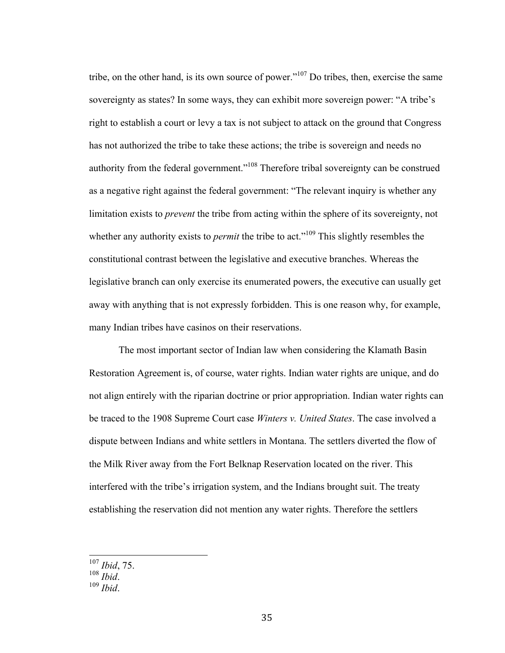tribe, on the other hand, is its own source of power."<sup>107</sup> Do tribes, then, exercise the same sovereignty as states? In some ways, they can exhibit more sovereign power: "A tribe's right to establish a court or levy a tax is not subject to attack on the ground that Congress has not authorized the tribe to take these actions; the tribe is sovereign and needs no authority from the federal government."<sup>108</sup> Therefore tribal sovereignty can be construed as a negative right against the federal government: "The relevant inquiry is whether any limitation exists to *prevent* the tribe from acting within the sphere of its sovereignty, not whether any authority exists to *permit* the tribe to act."<sup>109</sup> This slightly resembles the constitutional contrast between the legislative and executive branches. Whereas the legislative branch can only exercise its enumerated powers, the executive can usually get away with anything that is not expressly forbidden. This is one reason why, for example, many Indian tribes have casinos on their reservations.

The most important sector of Indian law when considering the Klamath Basin Restoration Agreement is, of course, water rights. Indian water rights are unique, and do not align entirely with the riparian doctrine or prior appropriation. Indian water rights can be traced to the 1908 Supreme Court case *Winters v. United States*. The case involved a dispute between Indians and white settlers in Montana. The settlers diverted the flow of the Milk River away from the Fort Belknap Reservation located on the river. This interfered with the tribe's irrigation system, and the Indians brought suit. The treaty establishing the reservation did not mention any water rights. Therefore the settlers

 <sup>107</sup> *Ibid*, 75.

<sup>108</sup> *Ibid*. <sup>109</sup> *Ibid*.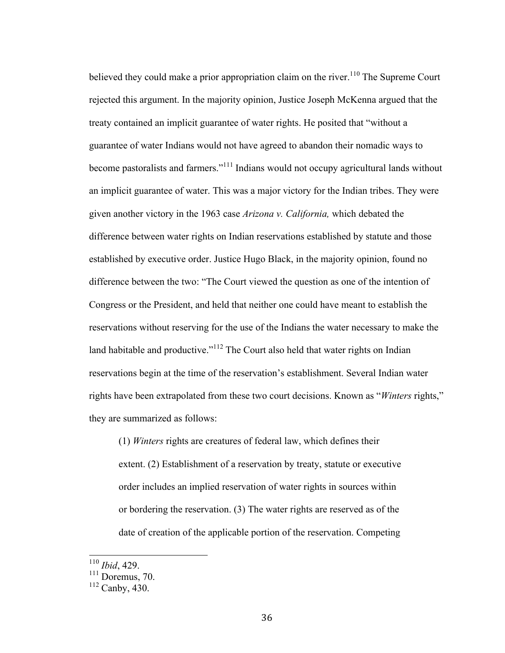believed they could make a prior appropriation claim on the river.<sup>110</sup> The Supreme Court rejected this argument. In the majority opinion, Justice Joseph McKenna argued that the treaty contained an implicit guarantee of water rights. He posited that "without a guarantee of water Indians would not have agreed to abandon their nomadic ways to become pastoralists and farmers."<sup>111</sup> Indians would not occupy agricultural lands without an implicit guarantee of water. This was a major victory for the Indian tribes. They were given another victory in the 1963 case *Arizona v. California,* which debated the difference between water rights on Indian reservations established by statute and those established by executive order. Justice Hugo Black, in the majority opinion, found no difference between the two: "The Court viewed the question as one of the intention of Congress or the President, and held that neither one could have meant to establish the reservations without reserving for the use of the Indians the water necessary to make the land habitable and productive."<sup>112</sup> The Court also held that water rights on Indian reservations begin at the time of the reservation's establishment. Several Indian water rights have been extrapolated from these two court decisions. Known as "*Winters* rights," they are summarized as follows:

(1) *Winters* rights are creatures of federal law, which defines their extent. (2) Establishment of a reservation by treaty, statute or executive order includes an implied reservation of water rights in sources within or bordering the reservation. (3) The water rights are reserved as of the date of creation of the applicable portion of the reservation. Competing

 <sup>110</sup> *Ibid*, 429.

 $\frac{111}{\text{Doremus}}$ , 70.

<sup>112</sup> Canby, 430.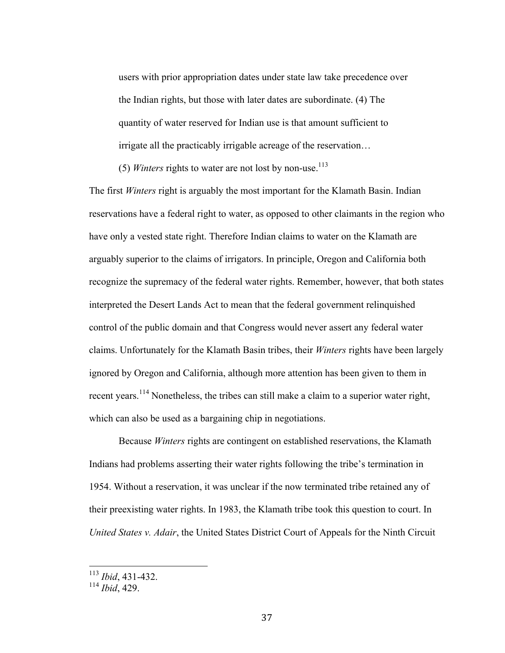users with prior appropriation dates under state law take precedence over the Indian rights, but those with later dates are subordinate. (4) The quantity of water reserved for Indian use is that amount sufficient to irrigate all the practicably irrigable acreage of the reservation…

(5) *Winters* rights to water are not lost by non-use. 113

The first *Winters* right is arguably the most important for the Klamath Basin. Indian reservations have a federal right to water, as opposed to other claimants in the region who have only a vested state right. Therefore Indian claims to water on the Klamath are arguably superior to the claims of irrigators. In principle, Oregon and California both recognize the supremacy of the federal water rights. Remember, however, that both states interpreted the Desert Lands Act to mean that the federal government relinquished control of the public domain and that Congress would never assert any federal water claims. Unfortunately for the Klamath Basin tribes, their *Winters* rights have been largely ignored by Oregon and California, although more attention has been given to them in recent years.<sup>114</sup> Nonetheless, the tribes can still make a claim to a superior water right, which can also be used as a bargaining chip in negotiations.

Because *Winters* rights are contingent on established reservations, the Klamath Indians had problems asserting their water rights following the tribe's termination in 1954. Without a reservation, it was unclear if the now terminated tribe retained any of their preexisting water rights. In 1983, the Klamath tribe took this question to court. In *United States v. Adair*, the United States District Court of Appeals for the Ninth Circuit

 <sup>113</sup> *Ibid*, 431-432.

<sup>114</sup> *Ibid*, 429.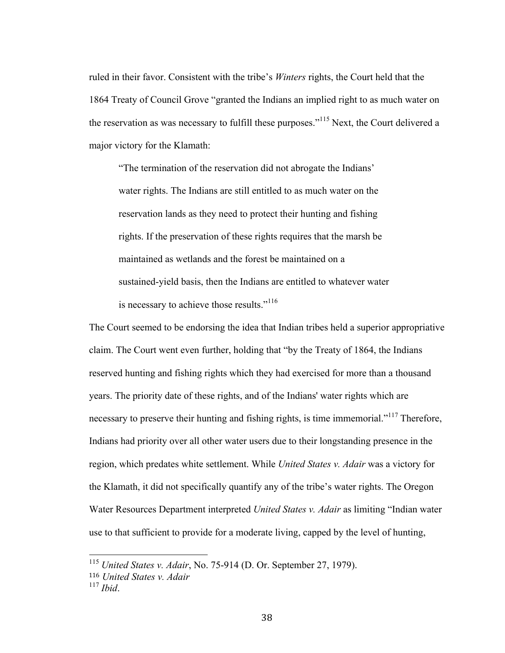ruled in their favor. Consistent with the tribe's *Winters* rights, the Court held that the 1864 Treaty of Council Grove "granted the Indians an implied right to as much water on the reservation as was necessary to fulfill these purposes."<sup>115</sup> Next, the Court delivered a major victory for the Klamath:

"The termination of the reservation did not abrogate the Indians' water rights. The Indians are still entitled to as much water on the reservation lands as they need to protect their hunting and fishing rights. If the preservation of these rights requires that the marsh be maintained as wetlands and the forest be maintained on a sustained-yield basis, then the Indians are entitled to whatever water is necessary to achieve those results."<sup>116</sup>

The Court seemed to be endorsing the idea that Indian tribes held a superior appropriative claim. The Court went even further, holding that "by the Treaty of 1864, the Indians reserved hunting and fishing rights which they had exercised for more than a thousand years. The priority date of these rights, and of the Indians' water rights which are necessary to preserve their hunting and fishing rights, is time immemorial."<sup>117</sup> Therefore, Indians had priority over all other water users due to their longstanding presence in the region, which predates white settlement. While *United States v. Adair* was a victory for the Klamath, it did not specifically quantify any of the tribe's water rights. The Oregon Water Resources Department interpreted *United States v. Adair* as limiting "Indian water use to that sufficient to provide for a moderate living, capped by the level of hunting,

 <sup>115</sup> *United States v. Adair*, No. 75-914 (D. Or. September 27, 1979).

<sup>116</sup> *United States v. Adair*

<sup>117</sup> *Ibid*.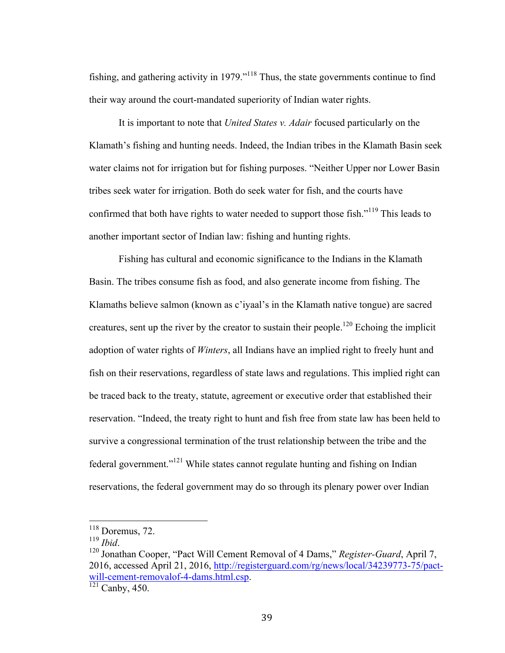fishing, and gathering activity in 1979."<sup>118</sup> Thus, the state governments continue to find their way around the court-mandated superiority of Indian water rights.

It is important to note that *United States v. Adair* focused particularly on the Klamath's fishing and hunting needs. Indeed, the Indian tribes in the Klamath Basin seek water claims not for irrigation but for fishing purposes. "Neither Upper nor Lower Basin tribes seek water for irrigation. Both do seek water for fish, and the courts have confirmed that both have rights to water needed to support those fish."<sup>119</sup> This leads to another important sector of Indian law: fishing and hunting rights.

Fishing has cultural and economic significance to the Indians in the Klamath Basin. The tribes consume fish as food, and also generate income from fishing. The Klamaths believe salmon (known as c'iyaal's in the Klamath native tongue) are sacred creatures, sent up the river by the creator to sustain their people.<sup>120</sup> Echoing the implicit adoption of water rights of *Winters*, all Indians have an implied right to freely hunt and fish on their reservations, regardless of state laws and regulations. This implied right can be traced back to the treaty, statute, agreement or executive order that established their reservation. "Indeed, the treaty right to hunt and fish free from state law has been held to survive a congressional termination of the trust relationship between the tribe and the federal government."<sup>121</sup> While states cannot regulate hunting and fishing on Indian reservations, the federal government may do so through its plenary power over Indian

 $\frac{^{118}}{^{119}}$  Doremus, 72.

<sup>&</sup>lt;sup>120</sup> Jonathan Cooper, "Pact Will Cement Removal of 4 Dams," *Register-Guard*, April 7, 2016, accessed April 21, 2016, http://registerguard.com/rg/news/local/34239773-75/pactwill-cement-removalof-4-dams.html.csp. <sup>121</sup> Canby, 450.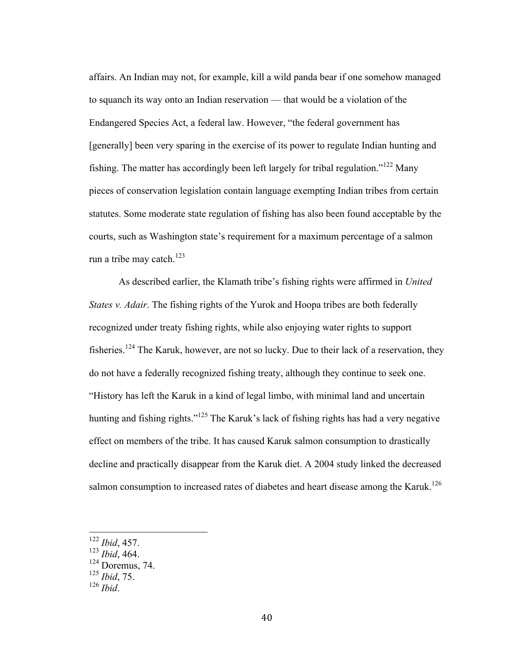affairs. An Indian may not, for example, kill a wild panda bear if one somehow managed to squanch its way onto an Indian reservation — that would be a violation of the Endangered Species Act, a federal law. However, "the federal government has [generally] been very sparing in the exercise of its power to regulate Indian hunting and fishing. The matter has accordingly been left largely for tribal regulation."<sup>122</sup> Many pieces of conservation legislation contain language exempting Indian tribes from certain statutes. Some moderate state regulation of fishing has also been found acceptable by the courts, such as Washington state's requirement for a maximum percentage of a salmon run a tribe may catch.<sup>123</sup>

As described earlier, the Klamath tribe's fishing rights were affirmed in *United States v. Adair*. The fishing rights of the Yurok and Hoopa tribes are both federally recognized under treaty fishing rights, while also enjoying water rights to support fisheries.<sup>124</sup> The Karuk, however, are not so lucky. Due to their lack of a reservation, they do not have a federally recognized fishing treaty, although they continue to seek one. "History has left the Karuk in a kind of legal limbo, with minimal land and uncertain hunting and fishing rights."<sup>125</sup> The Karuk's lack of fishing rights has had a very negative effect on members of the tribe. It has caused Karuk salmon consumption to drastically decline and practically disappear from the Karuk diet. A 2004 study linked the decreased salmon consumption to increased rates of diabetes and heart disease among the Karuk.<sup>126</sup>

 <sup>122</sup> *Ibid*, 457.

<sup>123</sup> *Ibid*, 464.

<sup>&</sup>lt;sup>124</sup> Doremus, 74.

<sup>125</sup> *Ibid*, 75.

<sup>126</sup> *Ibid*.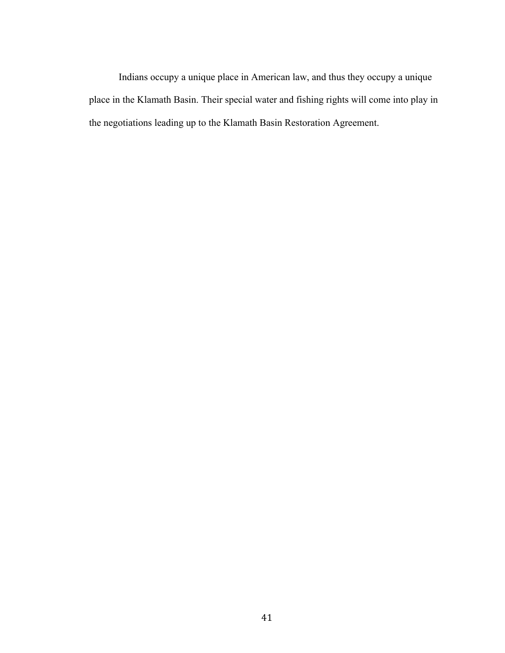Indians occupy a unique place in American law, and thus they occupy a unique place in the Klamath Basin. Their special water and fishing rights will come into play in the negotiations leading up to the Klamath Basin Restoration Agreement.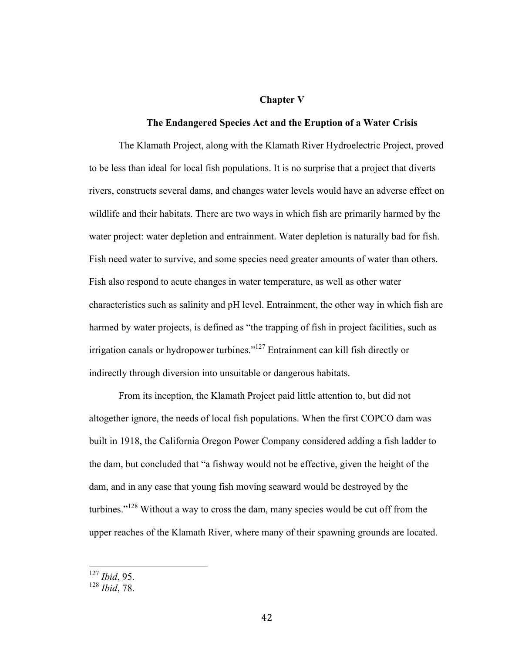#### **Chapter V**

### **The Endangered Species Act and the Eruption of a Water Crisis**

The Klamath Project, along with the Klamath River Hydroelectric Project, proved to be less than ideal for local fish populations. It is no surprise that a project that diverts rivers, constructs several dams, and changes water levels would have an adverse effect on wildlife and their habitats. There are two ways in which fish are primarily harmed by the water project: water depletion and entrainment. Water depletion is naturally bad for fish. Fish need water to survive, and some species need greater amounts of water than others. Fish also respond to acute changes in water temperature, as well as other water characteristics such as salinity and pH level. Entrainment, the other way in which fish are harmed by water projects, is defined as "the trapping of fish in project facilities, such as irrigation canals or hydropower turbines."<sup>127</sup> Entrainment can kill fish directly or indirectly through diversion into unsuitable or dangerous habitats.

From its inception, the Klamath Project paid little attention to, but did not altogether ignore, the needs of local fish populations. When the first COPCO dam was built in 1918, the California Oregon Power Company considered adding a fish ladder to the dam, but concluded that "a fishway would not be effective, given the height of the dam, and in any case that young fish moving seaward would be destroyed by the turbines."<sup>128</sup> Without a way to cross the dam, many species would be cut off from the upper reaches of the Klamath River, where many of their spawning grounds are located.

 <sup>127</sup> *Ibid*, 95.

<sup>128</sup> *Ibid*, 78.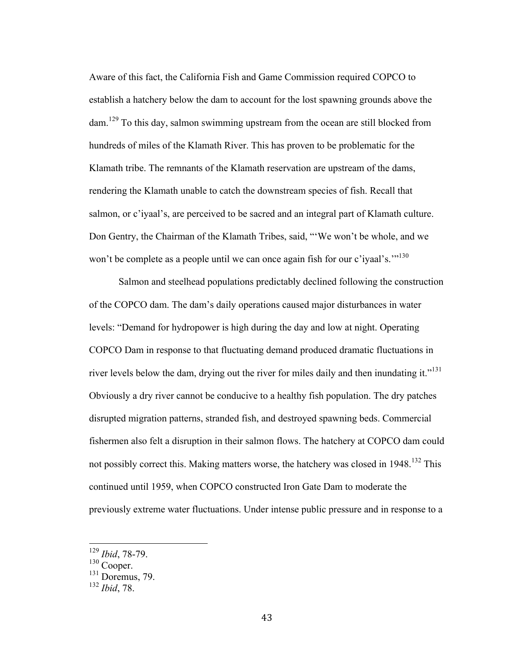Aware of this fact, the California Fish and Game Commission required COPCO to establish a hatchery below the dam to account for the lost spawning grounds above the dam.<sup>129</sup> To this day, salmon swimming upstream from the ocean are still blocked from hundreds of miles of the Klamath River. This has proven to be problematic for the Klamath tribe. The remnants of the Klamath reservation are upstream of the dams, rendering the Klamath unable to catch the downstream species of fish. Recall that salmon, or c'iyaal's, are perceived to be sacred and an integral part of Klamath culture. Don Gentry, the Chairman of the Klamath Tribes, said, "'We won't be whole, and we won't be complete as a people until we can once again fish for our c'ivaal's."<sup>130</sup>

Salmon and steelhead populations predictably declined following the construction of the COPCO dam. The dam's daily operations caused major disturbances in water levels: "Demand for hydropower is high during the day and low at night. Operating COPCO Dam in response to that fluctuating demand produced dramatic fluctuations in river levels below the dam, drying out the river for miles daily and then inundating it."<sup>131</sup> Obviously a dry river cannot be conducive to a healthy fish population. The dry patches disrupted migration patterns, stranded fish, and destroyed spawning beds. Commercial fishermen also felt a disruption in their salmon flows. The hatchery at COPCO dam could not possibly correct this. Making matters worse, the hatchery was closed in 1948.<sup>132</sup> This continued until 1959, when COPCO constructed Iron Gate Dam to moderate the previously extreme water fluctuations. Under intense public pressure and in response to a

 <sup>129</sup> *Ibid*, 78-79.

<sup>130</sup> Cooper.

 $131$  Doremus, 79.

<sup>132</sup> *Ibid*, 78.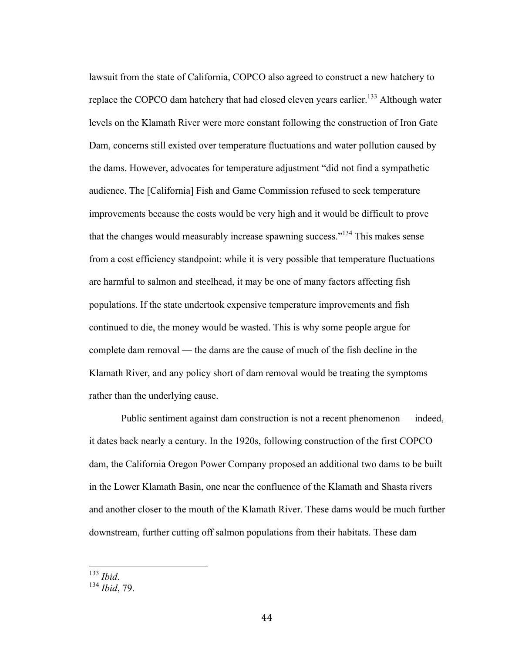lawsuit from the state of California, COPCO also agreed to construct a new hatchery to replace the COPCO dam hatchery that had closed eleven years earlier.<sup>133</sup> Although water levels on the Klamath River were more constant following the construction of Iron Gate Dam, concerns still existed over temperature fluctuations and water pollution caused by the dams. However, advocates for temperature adjustment "did not find a sympathetic audience. The [California] Fish and Game Commission refused to seek temperature improvements because the costs would be very high and it would be difficult to prove that the changes would measurably increase spawning success."134 This makes sense from a cost efficiency standpoint: while it is very possible that temperature fluctuations are harmful to salmon and steelhead, it may be one of many factors affecting fish populations. If the state undertook expensive temperature improvements and fish continued to die, the money would be wasted. This is why some people argue for complete dam removal — the dams are the cause of much of the fish decline in the Klamath River, and any policy short of dam removal would be treating the symptoms rather than the underlying cause.

Public sentiment against dam construction is not a recent phenomenon — indeed, it dates back nearly a century. In the 1920s, following construction of the first COPCO dam, the California Oregon Power Company proposed an additional two dams to be built in the Lower Klamath Basin, one near the confluence of the Klamath and Shasta rivers and another closer to the mouth of the Klamath River. These dams would be much further downstream, further cutting off salmon populations from their habitats. These dam

 <sup>133</sup> *Ibid*. <sup>134</sup> *Ibid*, 79.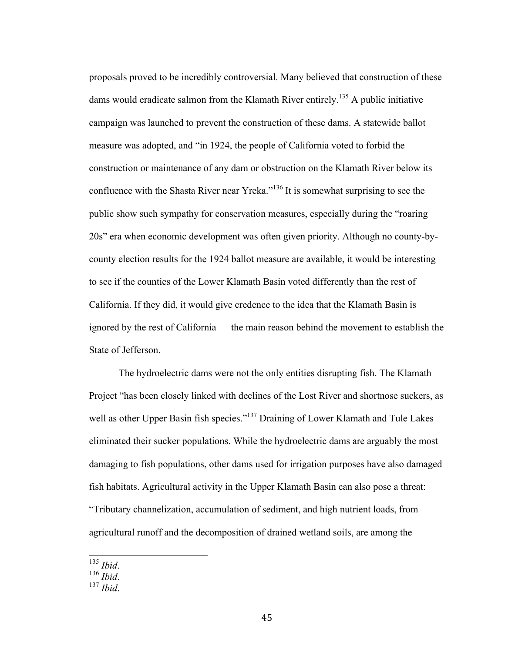proposals proved to be incredibly controversial. Many believed that construction of these dams would eradicate salmon from the Klamath River entirely.<sup>135</sup> A public initiative campaign was launched to prevent the construction of these dams. A statewide ballot measure was adopted, and "in 1924, the people of California voted to forbid the construction or maintenance of any dam or obstruction on the Klamath River below its confluence with the Shasta River near Yreka."<sup>136</sup> It is somewhat surprising to see the public show such sympathy for conservation measures, especially during the "roaring 20s" era when economic development was often given priority. Although no county-bycounty election results for the 1924 ballot measure are available, it would be interesting to see if the counties of the Lower Klamath Basin voted differently than the rest of California. If they did, it would give credence to the idea that the Klamath Basin is ignored by the rest of California — the main reason behind the movement to establish the State of Jefferson.

The hydroelectric dams were not the only entities disrupting fish. The Klamath Project "has been closely linked with declines of the Lost River and shortnose suckers, as well as other Upper Basin fish species."<sup>137</sup> Draining of Lower Klamath and Tule Lakes eliminated their sucker populations. While the hydroelectric dams are arguably the most damaging to fish populations, other dams used for irrigation purposes have also damaged fish habitats. Agricultural activity in the Upper Klamath Basin can also pose a threat: "Tributary channelization, accumulation of sediment, and high nutrient loads, from agricultural runoff and the decomposition of drained wetland soils, are among the

 <sup>135</sup> *Ibid*. <sup>136</sup> *Ibid*. <sup>137</sup> *Ibid*.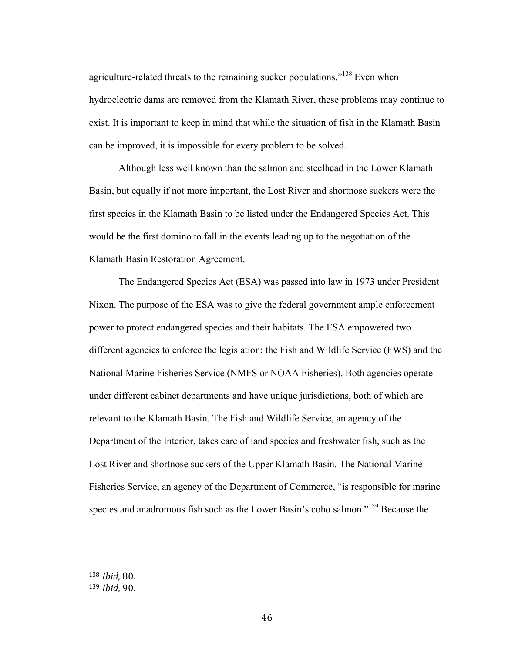agriculture-related threats to the remaining sucker populations."<sup>138</sup> Even when hydroelectric dams are removed from the Klamath River, these problems may continue to exist. It is important to keep in mind that while the situation of fish in the Klamath Basin can be improved, it is impossible for every problem to be solved.

Although less well known than the salmon and steelhead in the Lower Klamath Basin, but equally if not more important, the Lost River and shortnose suckers were the first species in the Klamath Basin to be listed under the Endangered Species Act. This would be the first domino to fall in the events leading up to the negotiation of the Klamath Basin Restoration Agreement.

The Endangered Species Act (ESA) was passed into law in 1973 under President Nixon. The purpose of the ESA was to give the federal government ample enforcement power to protect endangered species and their habitats. The ESA empowered two different agencies to enforce the legislation: the Fish and Wildlife Service (FWS) and the National Marine Fisheries Service (NMFS or NOAA Fisheries). Both agencies operate under different cabinet departments and have unique jurisdictions, both of which are relevant to the Klamath Basin. The Fish and Wildlife Service, an agency of the Department of the Interior, takes care of land species and freshwater fish, such as the Lost River and shortnose suckers of the Upper Klamath Basin. The National Marine Fisheries Service, an agency of the Department of Commerce, "is responsible for marine species and anadromous fish such as the Lower Basin's coho salmon."<sup>139</sup> Because the

 

<sup>138</sup> *Ibid*, 80.

<sup>139</sup> *Ibid*, 90.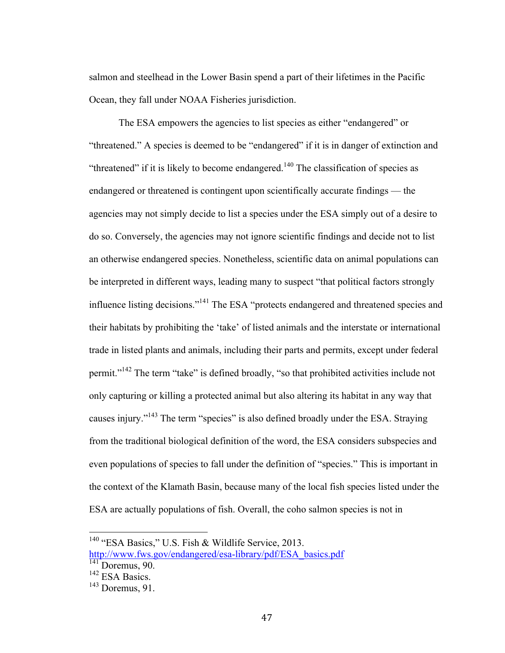salmon and steelhead in the Lower Basin spend a part of their lifetimes in the Pacific Ocean, they fall under NOAA Fisheries jurisdiction.

The ESA empowers the agencies to list species as either "endangered" or "threatened." A species is deemed to be "endangered" if it is in danger of extinction and "threatened" if it is likely to become endangered.<sup>140</sup> The classification of species as endangered or threatened is contingent upon scientifically accurate findings — the agencies may not simply decide to list a species under the ESA simply out of a desire to do so. Conversely, the agencies may not ignore scientific findings and decide not to list an otherwise endangered species. Nonetheless, scientific data on animal populations can be interpreted in different ways, leading many to suspect "that political factors strongly influence listing decisions."<sup>141</sup> The ESA "protects endangered and threatened species and their habitats by prohibiting the 'take' of listed animals and the interstate or international trade in listed plants and animals, including their parts and permits, except under federal permit."<sup>142</sup> The term "take" is defined broadly, "so that prohibited activities include not only capturing or killing a protected animal but also altering its habitat in any way that causes injury."<sup>143</sup> The term "species" is also defined broadly under the ESA. Straying from the traditional biological definition of the word, the ESA considers subspecies and even populations of species to fall under the definition of "species." This is important in the context of the Klamath Basin, because many of the local fish species listed under the ESA are actually populations of fish. Overall, the coho salmon species is not in

<sup>&</sup>lt;sup>140</sup> "ESA Basics," U.S. Fish & Wildlife Service, 2013.

http://www.fws.gov/endangered/esa-library/pdf/ESA\_basics.pdf

<sup>&</sup>lt;sup>141</sup> Doremus, 90.

<sup>&</sup>lt;sup>142</sup> ESA Basics.

 $143$  Doremus, 91.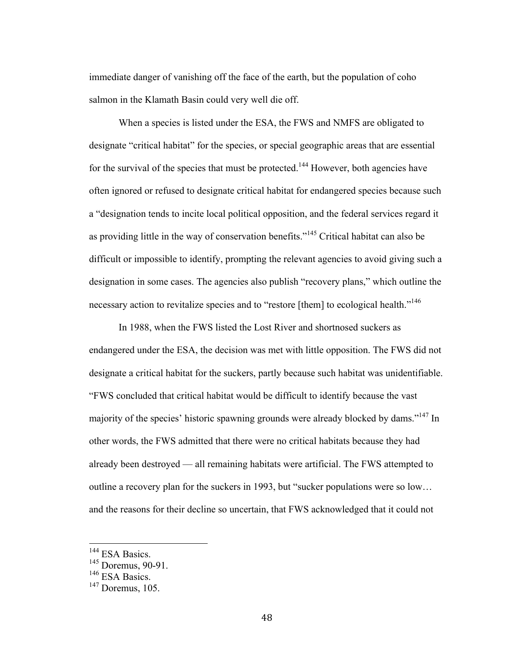immediate danger of vanishing off the face of the earth, but the population of coho salmon in the Klamath Basin could very well die off.

When a species is listed under the ESA, the FWS and NMFS are obligated to designate "critical habitat" for the species, or special geographic areas that are essential for the survival of the species that must be protected.<sup>144</sup> However, both agencies have often ignored or refused to designate critical habitat for endangered species because such a "designation tends to incite local political opposition, and the federal services regard it as providing little in the way of conservation benefits."<sup>145</sup> Critical habitat can also be difficult or impossible to identify, prompting the relevant agencies to avoid giving such a designation in some cases. The agencies also publish "recovery plans," which outline the necessary action to revitalize species and to "restore [them] to ecological health."<sup>146</sup>

In 1988, when the FWS listed the Lost River and shortnosed suckers as endangered under the ESA, the decision was met with little opposition. The FWS did not designate a critical habitat for the suckers, partly because such habitat was unidentifiable. "FWS concluded that critical habitat would be difficult to identify because the vast majority of the species' historic spawning grounds were already blocked by dams."<sup>147</sup> In other words, the FWS admitted that there were no critical habitats because they had already been destroyed — all remaining habitats were artificial. The FWS attempted to outline a recovery plan for the suckers in 1993, but "sucker populations were so low… and the reasons for their decline so uncertain, that FWS acknowledged that it could not

<sup>&</sup>lt;sup>144</sup> ESA Basics.

<sup>145</sup> Doremus, 90-91.

<sup>&</sup>lt;sup>146</sup> ESA Basics.

 $147$  Doremus,  $105$ .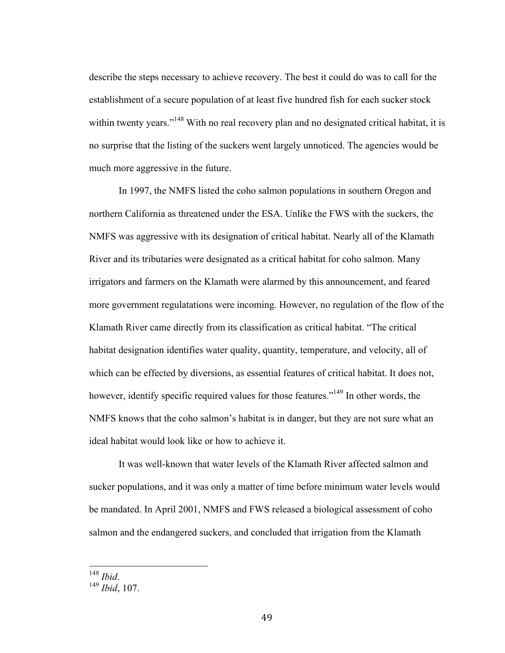describe the steps necessary to achieve recovery. The best it could do was to call for the establishment of a secure population of at least five hundred fish for each sucker stock within twenty years."<sup>148</sup> With no real recovery plan and no designated critical habitat, it is no surprise that the listing of the suckers went largely unnoticed. The agencies would be much more aggressive in the future.

In 1997, the NMFS listed the coho salmon populations in southern Oregon and northern California as threatened under the ESA. Unlike the FWS with the suckers, the NMFS was aggressive with its designation of critical habitat. Nearly all of the Klamath River and its tributaries were designated as a critical habitat for coho salmon. Many irrigators and farmers on the Klamath were alarmed by this announcement, and feared more government regulatations were incoming. However, no regulation of the flow of the Klamath River came directly from its classification as critical habitat. "The critical habitat designation identifies water quality, quantity, temperature, and velocity, all of which can be effected by diversions, as essential features of critical habitat. It does not, however, identify specific required values for those features."<sup>149</sup> In other words, the NMFS knows that the coho salmon's habitat is in danger, but they are not sure what an ideal habitat would look like or how to achieve it.

It was well-known that water levels of the Klamath River affected salmon and sucker populations, and it was only a matter of time before minimum water levels would be mandated. In April 2001, NMFS and FWS released a biological assessment of coho salmon and the endangered suckers, and concluded that irrigation from the Klamath

 <sup>148</sup> *Ibid*. <sup>149</sup> *Ibid*, 107.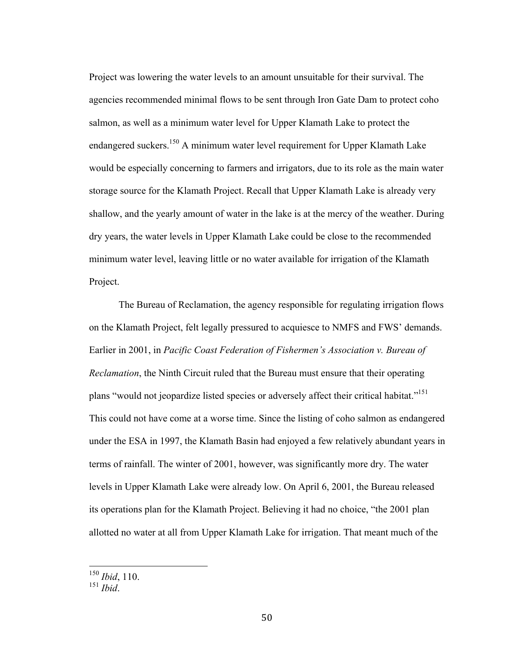Project was lowering the water levels to an amount unsuitable for their survival. The agencies recommended minimal flows to be sent through Iron Gate Dam to protect coho salmon, as well as a minimum water level for Upper Klamath Lake to protect the endangered suckers.<sup>150</sup> A minimum water level requirement for Upper Klamath Lake would be especially concerning to farmers and irrigators, due to its role as the main water storage source for the Klamath Project. Recall that Upper Klamath Lake is already very shallow, and the yearly amount of water in the lake is at the mercy of the weather. During dry years, the water levels in Upper Klamath Lake could be close to the recommended minimum water level, leaving little or no water available for irrigation of the Klamath Project.

The Bureau of Reclamation, the agency responsible for regulating irrigation flows on the Klamath Project, felt legally pressured to acquiesce to NMFS and FWS' demands. Earlier in 2001, in *Pacific Coast Federation of Fishermen's Association v. Bureau of Reclamation*, the Ninth Circuit ruled that the Bureau must ensure that their operating plans "would not jeopardize listed species or adversely affect their critical habitat."<sup>151</sup> This could not have come at a worse time. Since the listing of coho salmon as endangered under the ESA in 1997, the Klamath Basin had enjoyed a few relatively abundant years in terms of rainfall. The winter of 2001, however, was significantly more dry. The water levels in Upper Klamath Lake were already low. On April 6, 2001, the Bureau released its operations plan for the Klamath Project. Believing it had no choice, "the 2001 plan allotted no water at all from Upper Klamath Lake for irrigation. That meant much of the

 <sup>150</sup> *Ibid*, 110.

 $^{151}$  *Ibid.*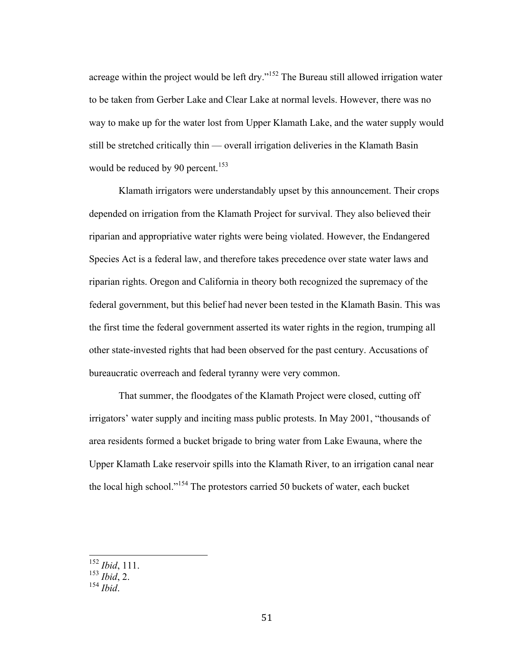acreage within the project would be left dry."<sup>152</sup> The Bureau still allowed irrigation water to be taken from Gerber Lake and Clear Lake at normal levels. However, there was no way to make up for the water lost from Upper Klamath Lake, and the water supply would still be stretched critically thin — overall irrigation deliveries in the Klamath Basin would be reduced by 90 percent.<sup>153</sup>

Klamath irrigators were understandably upset by this announcement. Their crops depended on irrigation from the Klamath Project for survival. They also believed their riparian and appropriative water rights were being violated. However, the Endangered Species Act is a federal law, and therefore takes precedence over state water laws and riparian rights. Oregon and California in theory both recognized the supremacy of the federal government, but this belief had never been tested in the Klamath Basin. This was the first time the federal government asserted its water rights in the region, trumping all other state-invested rights that had been observed for the past century. Accusations of bureaucratic overreach and federal tyranny were very common.

That summer, the floodgates of the Klamath Project were closed, cutting off irrigators' water supply and inciting mass public protests. In May 2001, "thousands of area residents formed a bucket brigade to bring water from Lake Ewauna, where the Upper Klamath Lake reservoir spills into the Klamath River, to an irrigation canal near the local high school."<sup>154</sup> The protestors carried 50 buckets of water, each bucket

 <sup>152</sup> *Ibid*, 111.

<sup>153</sup> *Ibid*, 2.

<sup>154</sup> *Ibid*.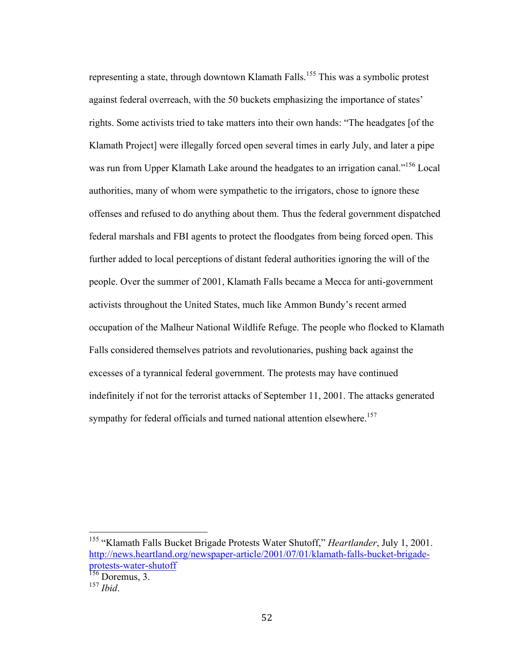representing a state, through downtown Klamath Falls.<sup>155</sup> This was a symbolic protest against federal overreach, with the 50 buckets emphasizing the importance of states' rights. Some activists tried to take matters into their own hands: "The headgates [of the Klamath Project] were illegally forced open several times in early July, and later a pipe was run from Upper Klamath Lake around the headgates to an irrigation canal."<sup>156</sup> Local authorities, many of whom were sympathetic to the irrigators, chose to ignore these offenses and refused to do anything about them. Thus the federal government dispatched federal marshals and FBI agents to protect the floodgates from being forced open. This further added to local perceptions of distant federal authorities ignoring the will of the people. Over the summer of 2001, Klamath Falls became a Mecca for anti-government activists throughout the United States, much like Ammon Bundy's recent armed occupation of the Malheur National Wildlife Refuge. The people who flocked to Klamath Falls considered themselves patriots and revolutionaries, pushing back against the excesses of a tyrannical federal government. The protests may have continued indefinitely if not for the terrorist attacks of September 11, 2001. The attacks generated sympathy for federal officials and turned national attention elsewhere.<sup>157</sup>

 <sup>155</sup> "Klamath Falls Bucket Brigade Protests Water Shutoff," *Heartlander*, July 1, 2001. http://news.heartland.org/newspaper-article/2001/07/01/klamath-falls-bucket-brigadeprotests-water-shutoff

 $156$  Doremus, 3.

<sup>157</sup> *Ibid*.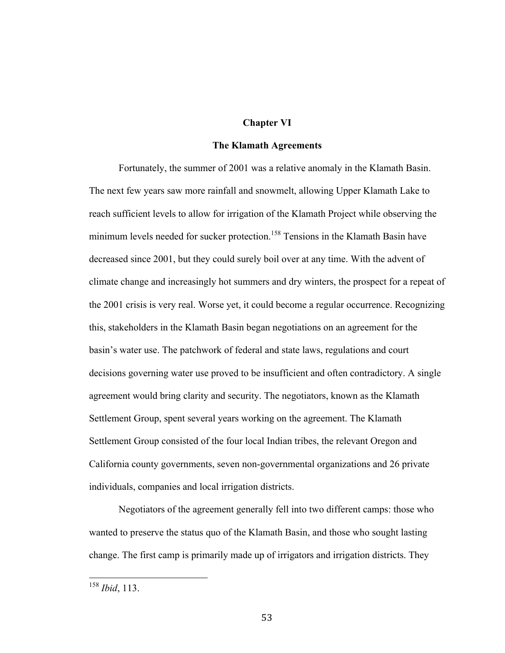## **Chapter VI**

## **The Klamath Agreements**

Fortunately, the summer of 2001 was a relative anomaly in the Klamath Basin. The next few years saw more rainfall and snowmelt, allowing Upper Klamath Lake to reach sufficient levels to allow for irrigation of the Klamath Project while observing the minimum levels needed for sucker protection.<sup>158</sup> Tensions in the Klamath Basin have decreased since 2001, but they could surely boil over at any time. With the advent of climate change and increasingly hot summers and dry winters, the prospect for a repeat of the 2001 crisis is very real. Worse yet, it could become a regular occurrence. Recognizing this, stakeholders in the Klamath Basin began negotiations on an agreement for the basin's water use. The patchwork of federal and state laws, regulations and court decisions governing water use proved to be insufficient and often contradictory. A single agreement would bring clarity and security. The negotiators, known as the Klamath Settlement Group, spent several years working on the agreement. The Klamath Settlement Group consisted of the four local Indian tribes, the relevant Oregon and California county governments, seven non-governmental organizations and 26 private individuals, companies and local irrigation districts.

Negotiators of the agreement generally fell into two different camps: those who wanted to preserve the status quo of the Klamath Basin, and those who sought lasting change. The first camp is primarily made up of irrigators and irrigation districts. They

 <sup>158</sup> *Ibid*, 113.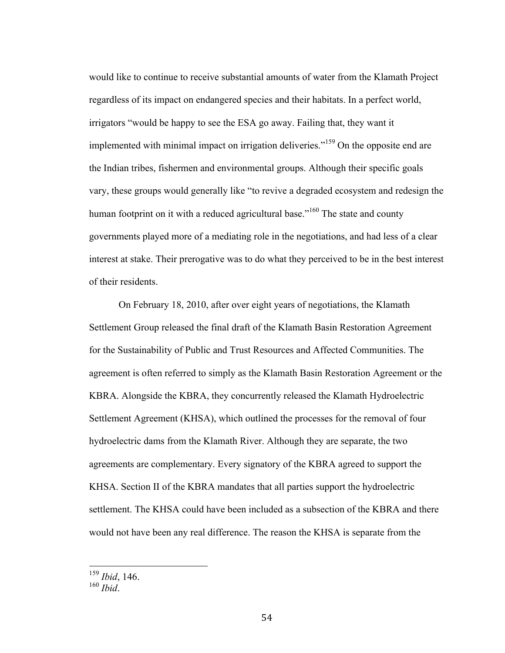would like to continue to receive substantial amounts of water from the Klamath Project regardless of its impact on endangered species and their habitats. In a perfect world, irrigators "would be happy to see the ESA go away. Failing that, they want it implemented with minimal impact on irrigation deliveries."<sup>159</sup> On the opposite end are the Indian tribes, fishermen and environmental groups. Although their specific goals vary, these groups would generally like "to revive a degraded ecosystem and redesign the human footprint on it with a reduced agricultural base."<sup>160</sup> The state and county governments played more of a mediating role in the negotiations, and had less of a clear interest at stake. Their prerogative was to do what they perceived to be in the best interest of their residents.

On February 18, 2010, after over eight years of negotiations, the Klamath Settlement Group released the final draft of the Klamath Basin Restoration Agreement for the Sustainability of Public and Trust Resources and Affected Communities. The agreement is often referred to simply as the Klamath Basin Restoration Agreement or the KBRA. Alongside the KBRA, they concurrently released the Klamath Hydroelectric Settlement Agreement (KHSA), which outlined the processes for the removal of four hydroelectric dams from the Klamath River. Although they are separate, the two agreements are complementary. Every signatory of the KBRA agreed to support the KHSA. Section II of the KBRA mandates that all parties support the hydroelectric settlement. The KHSA could have been included as a subsection of the KBRA and there would not have been any real difference. The reason the KHSA is separate from the

 <sup>159</sup> *Ibid*, 146. <sup>160</sup> *Ibid*.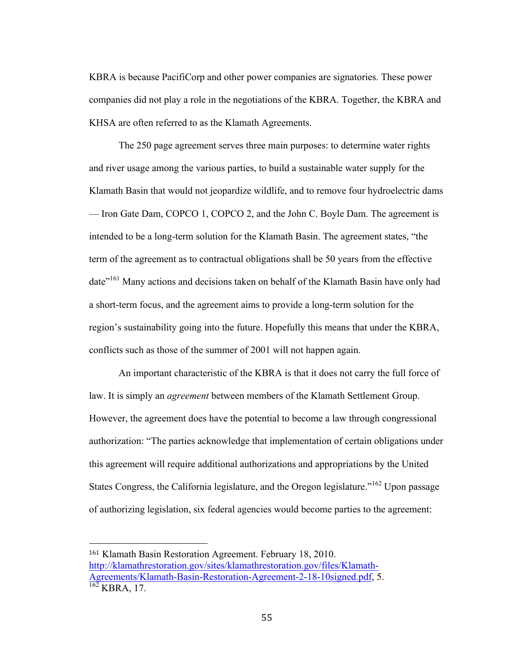KBRA is because PacifiCorp and other power companies are signatories. These power companies did not play a role in the negotiations of the KBRA. Together, the KBRA and KHSA are often referred to as the Klamath Agreements.

The 250 page agreement serves three main purposes: to determine water rights and river usage among the various parties, to build a sustainable water supply for the Klamath Basin that would not jeopardize wildlife, and to remove four hydroelectric dams — Iron Gate Dam, COPCO 1, COPCO 2, and the John C. Boyle Dam. The agreement is intended to be a long-term solution for the Klamath Basin. The agreement states, "the term of the agreement as to contractual obligations shall be 50 years from the effective date"<sup>161</sup> Many actions and decisions taken on behalf of the Klamath Basin have only had a short-term focus, and the agreement aims to provide a long-term solution for the region's sustainability going into the future. Hopefully this means that under the KBRA, conflicts such as those of the summer of 2001 will not happen again.

An important characteristic of the KBRA is that it does not carry the full force of law. It is simply an *agreement* between members of the Klamath Settlement Group. However, the agreement does have the potential to become a law through congressional authorization: "The parties acknowledge that implementation of certain obligations under this agreement will require additional authorizations and appropriations by the United States Congress, the California legislature, and the Oregon legislature.<sup>162</sup> Upon passage of authorizing legislation, six federal agencies would become parties to the agreement:

 

<sup>161</sup> Klamath Basin Restoration Agreement. February 18, 2010. http://klamathrestoration.gov/sites/klamathrestoration.gov/files/Klamath-Agreements/Klamath-Basin-Restoration-Agreement-2-18-10signed.pdf, 5.<br><sup>162</sup> KBRA, 17.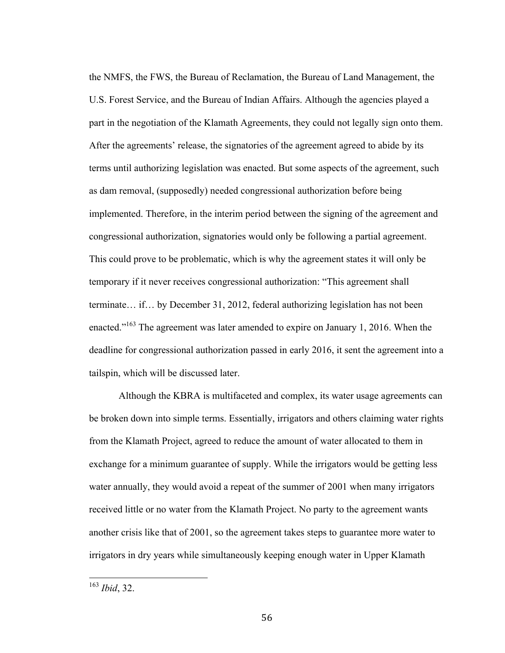the NMFS, the FWS, the Bureau of Reclamation, the Bureau of Land Management, the U.S. Forest Service, and the Bureau of Indian Affairs. Although the agencies played a part in the negotiation of the Klamath Agreements, they could not legally sign onto them. After the agreements' release, the signatories of the agreement agreed to abide by its terms until authorizing legislation was enacted. But some aspects of the agreement, such as dam removal, (supposedly) needed congressional authorization before being implemented. Therefore, in the interim period between the signing of the agreement and congressional authorization, signatories would only be following a partial agreement. This could prove to be problematic, which is why the agreement states it will only be temporary if it never receives congressional authorization: "This agreement shall terminate… if… by December 31, 2012, federal authorizing legislation has not been enacted."<sup>163</sup> The agreement was later amended to expire on January 1, 2016. When the deadline for congressional authorization passed in early 2016, it sent the agreement into a tailspin, which will be discussed later.

Although the KBRA is multifaceted and complex, its water usage agreements can be broken down into simple terms. Essentially, irrigators and others claiming water rights from the Klamath Project, agreed to reduce the amount of water allocated to them in exchange for a minimum guarantee of supply. While the irrigators would be getting less water annually, they would avoid a repeat of the summer of 2001 when many irrigators received little or no water from the Klamath Project. No party to the agreement wants another crisis like that of 2001, so the agreement takes steps to guarantee more water to irrigators in dry years while simultaneously keeping enough water in Upper Klamath

 <sup>163</sup> *Ibid*, 32.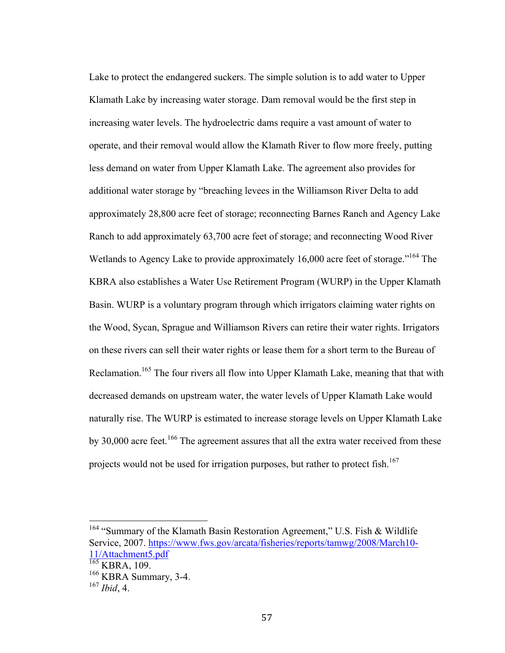Lake to protect the endangered suckers. The simple solution is to add water to Upper Klamath Lake by increasing water storage. Dam removal would be the first step in increasing water levels. The hydroelectric dams require a vast amount of water to operate, and their removal would allow the Klamath River to flow more freely, putting less demand on water from Upper Klamath Lake. The agreement also provides for additional water storage by "breaching levees in the Williamson River Delta to add approximately 28,800 acre feet of storage; reconnecting Barnes Ranch and Agency Lake Ranch to add approximately 63,700 acre feet of storage; and reconnecting Wood River Wetlands to Agency Lake to provide approximately 16,000 acre feet of storage."<sup>164</sup> The KBRA also establishes a Water Use Retirement Program (WURP) in the Upper Klamath Basin. WURP is a voluntary program through which irrigators claiming water rights on the Wood, Sycan, Sprague and Williamson Rivers can retire their water rights. Irrigators on these rivers can sell their water rights or lease them for a short term to the Bureau of Reclamation.<sup>165</sup> The four rivers all flow into Upper Klamath Lake, meaning that that with decreased demands on upstream water, the water levels of Upper Klamath Lake would naturally rise. The WURP is estimated to increase storage levels on Upper Klamath Lake by 30,000 acre feet.<sup>166</sup> The agreement assures that all the extra water received from these projects would not be used for irrigation purposes, but rather to protect fish.<sup>167</sup>

<sup>&</sup>lt;sup>164</sup> "Summary of the Klamath Basin Restoration Agreement," U.S. Fish & Wildlife Service, 2007. https://www.fws.gov/arcata/fisheries/reports/tamwg/2008/March10- 11/Attachment5.pdf

 $\frac{165}{165}$  KBRA, 109.

<sup>&</sup>lt;sup>166</sup> KBRA Summary, 3-4.

<sup>167</sup> *Ibid*, 4.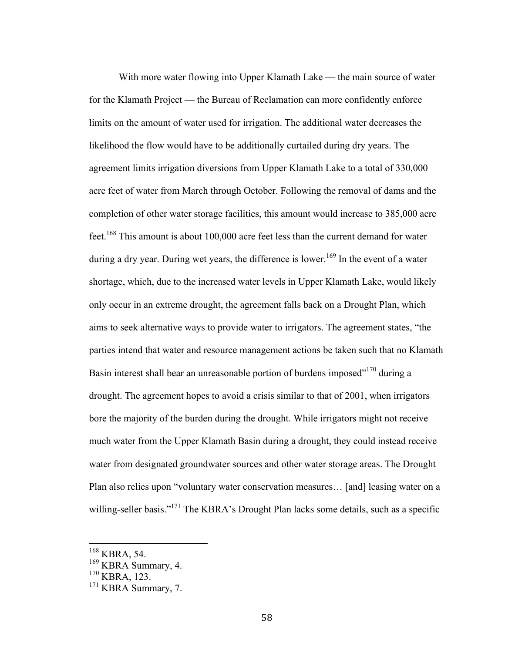With more water flowing into Upper Klamath Lake — the main source of water for the Klamath Project — the Bureau of Reclamation can more confidently enforce limits on the amount of water used for irrigation. The additional water decreases the likelihood the flow would have to be additionally curtailed during dry years. The agreement limits irrigation diversions from Upper Klamath Lake to a total of 330,000 acre feet of water from March through October. Following the removal of dams and the completion of other water storage facilities, this amount would increase to 385,000 acre feet.<sup>168</sup> This amount is about 100,000 acre feet less than the current demand for water during a dry year. During wet years, the difference is lower.<sup>169</sup> In the event of a water shortage, which, due to the increased water levels in Upper Klamath Lake, would likely only occur in an extreme drought, the agreement falls back on a Drought Plan, which aims to seek alternative ways to provide water to irrigators. The agreement states, "the parties intend that water and resource management actions be taken such that no Klamath Basin interest shall bear an unreasonable portion of burdens imposed"<sup>170</sup> during a drought. The agreement hopes to avoid a crisis similar to that of 2001, when irrigators bore the majority of the burden during the drought. While irrigators might not receive much water from the Upper Klamath Basin during a drought, they could instead receive water from designated groundwater sources and other water storage areas. The Drought Plan also relies upon "voluntary water conservation measures… [and] leasing water on a willing-seller basis."<sup>171</sup> The KBRA's Drought Plan lacks some details, such as a specific

 <sup>168</sup> KBRA, 54.

<sup>&</sup>lt;sup>169</sup> KBRA Summary, 4.

<sup>170</sup> KBRA, 123.

<sup>171</sup> KBRA Summary, 7.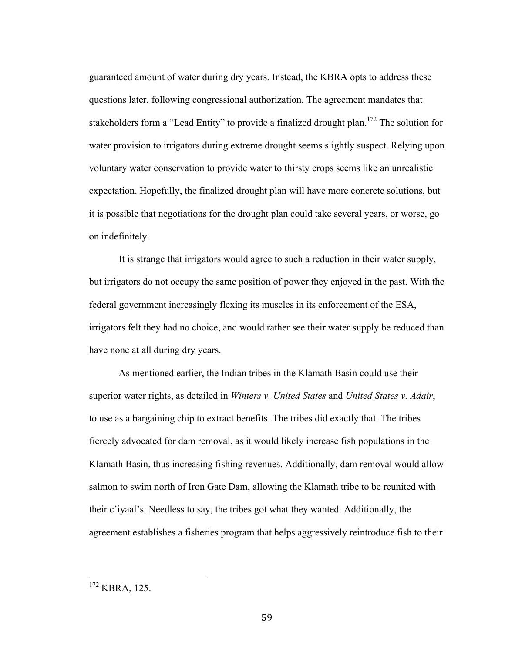guaranteed amount of water during dry years. Instead, the KBRA opts to address these questions later, following congressional authorization. The agreement mandates that stakeholders form a "Lead Entity" to provide a finalized drought plan.<sup>172</sup> The solution for water provision to irrigators during extreme drought seems slightly suspect. Relying upon voluntary water conservation to provide water to thirsty crops seems like an unrealistic expectation. Hopefully, the finalized drought plan will have more concrete solutions, but it is possible that negotiations for the drought plan could take several years, or worse, go on indefinitely.

It is strange that irrigators would agree to such a reduction in their water supply, but irrigators do not occupy the same position of power they enjoyed in the past. With the federal government increasingly flexing its muscles in its enforcement of the ESA, irrigators felt they had no choice, and would rather see their water supply be reduced than have none at all during dry years.

As mentioned earlier, the Indian tribes in the Klamath Basin could use their superior water rights, as detailed in *Winters v. United States* and *United States v. Adair*, to use as a bargaining chip to extract benefits. The tribes did exactly that. The tribes fiercely advocated for dam removal, as it would likely increase fish populations in the Klamath Basin, thus increasing fishing revenues. Additionally, dam removal would allow salmon to swim north of Iron Gate Dam, allowing the Klamath tribe to be reunited with their c'iyaal's. Needless to say, the tribes got what they wanted. Additionally, the agreement establishes a fisheries program that helps aggressively reintroduce fish to their

<sup>&</sup>lt;sup>172</sup> KBRA, 125.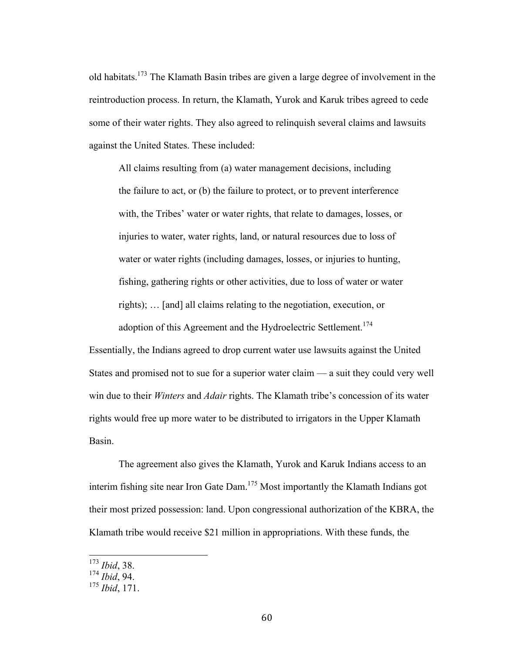old habitats.173 The Klamath Basin tribes are given a large degree of involvement in the reintroduction process. In return, the Klamath, Yurok and Karuk tribes agreed to cede some of their water rights. They also agreed to relinquish several claims and lawsuits against the United States. These included:

All claims resulting from (a) water management decisions, including the failure to act, or (b) the failure to protect, or to prevent interference with, the Tribes' water or water rights, that relate to damages, losses, or injuries to water, water rights, land, or natural resources due to loss of water or water rights (including damages, losses, or injuries to hunting, fishing, gathering rights or other activities, due to loss of water or water rights); … [and] all claims relating to the negotiation, execution, or adoption of this Agreement and the Hydroelectric Settlement.<sup>174</sup>

Essentially, the Indians agreed to drop current water use lawsuits against the United States and promised not to sue for a superior water claim — a suit they could very well win due to their *Winters* and *Adair* rights. The Klamath tribe's concession of its water rights would free up more water to be distributed to irrigators in the Upper Klamath Basin.

The agreement also gives the Klamath, Yurok and Karuk Indians access to an interim fishing site near Iron Gate Dam. <sup>175</sup> Most importantly the Klamath Indians got their most prized possession: land. Upon congressional authorization of the KBRA, the Klamath tribe would receive \$21 million in appropriations. With these funds, the

 <sup>173</sup> *Ibid*, 38.

<sup>174</sup> *Ibid*, 94.

<sup>175</sup> *Ibid*, 171.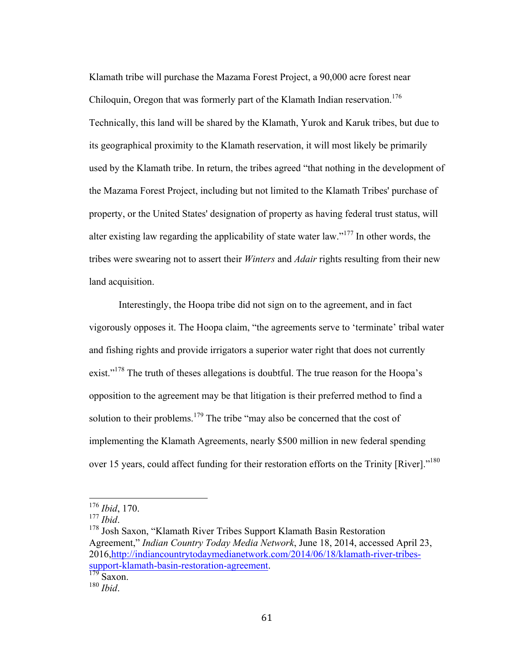Klamath tribe will purchase the Mazama Forest Project, a 90,000 acre forest near Chiloquin, Oregon that was formerly part of the Klamath Indian reservation.<sup>176</sup> Technically, this land will be shared by the Klamath, Yurok and Karuk tribes, but due to its geographical proximity to the Klamath reservation, it will most likely be primarily used by the Klamath tribe. In return, the tribes agreed "that nothing in the development of the Mazama Forest Project, including but not limited to the Klamath Tribes' purchase of property, or the United States' designation of property as having federal trust status, will alter existing law regarding the applicability of state water law."<sup>177</sup> In other words, the tribes were swearing not to assert their *Winters* and *Adair* rights resulting from their new land acquisition.

Interestingly, the Hoopa tribe did not sign on to the agreement, and in fact vigorously opposes it. The Hoopa claim, "the agreements serve to 'terminate' tribal water and fishing rights and provide irrigators a superior water right that does not currently exist."<sup>178</sup> The truth of theses allegations is doubtful. The true reason for the Hoopa's opposition to the agreement may be that litigation is their preferred method to find a solution to their problems.<sup>179</sup> The tribe "may also be concerned that the cost of implementing the Klamath Agreements, nearly \$500 million in new federal spending over 15 years, could affect funding for their restoration efforts on the Trinity [River]."<sup>180</sup>

 <sup>176</sup> *Ibid*, 170.

<sup>&</sup>lt;sup>178</sup> Josh Saxon, "Klamath River Tribes Support Klamath Basin Restoration Agreement," *Indian Country Today Media Network*, June 18, 2014, accessed April 23, 2016,http://indiancountrytodaymedianetwork.com/2014/06/18/klamath-river-tribessupport-klamath-basin-restoration-agreement. <sup>179</sup> Saxon.

<sup>180</sup> *Ibid*.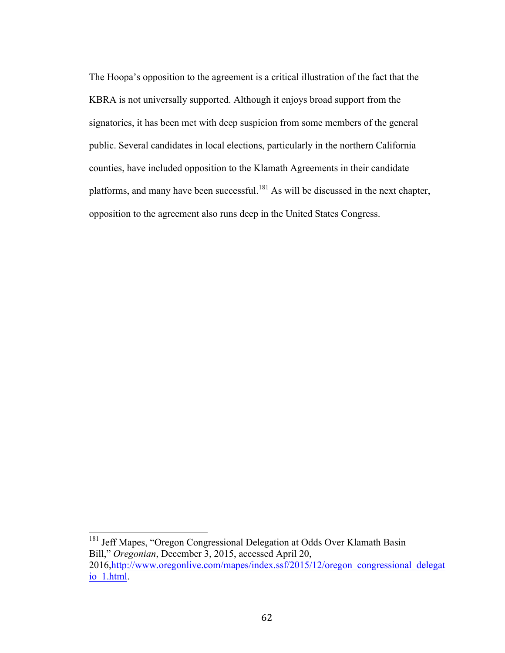The Hoopa's opposition to the agreement is a critical illustration of the fact that the KBRA is not universally supported. Although it enjoys broad support from the signatories, it has been met with deep suspicion from some members of the general public. Several candidates in local elections, particularly in the northern California counties, have included opposition to the Klamath Agreements in their candidate platforms, and many have been successful.<sup>181</sup> As will be discussed in the next chapter, opposition to the agreement also runs deep in the United States Congress.

<sup>&</sup>lt;sup>181</sup> Jeff Mapes, "Oregon Congressional Delegation at Odds Over Klamath Basin Bill," *Oregonian*, December 3, 2015, accessed April 20, 2016,http://www.oregonlive.com/mapes/index.ssf/2015/12/oregon\_congressional\_delegat

io\_1.html.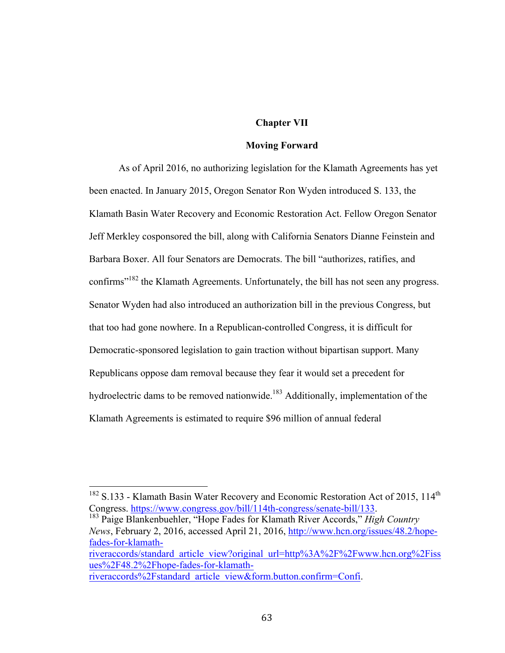# **Chapter VII**

#### **Moving Forward**

As of April 2016, no authorizing legislation for the Klamath Agreements has yet been enacted. In January 2015, Oregon Senator Ron Wyden introduced S. 133, the Klamath Basin Water Recovery and Economic Restoration Act. Fellow Oregon Senator Jeff Merkley cosponsored the bill, along with California Senators Dianne Feinstein and Barbara Boxer. All four Senators are Democrats. The bill "authorizes, ratifies, and confirms<sup>"182</sup> the Klamath Agreements. Unfortunately, the bill has not seen any progress. Senator Wyden had also introduced an authorization bill in the previous Congress, but that too had gone nowhere. In a Republican-controlled Congress, it is difficult for Democratic-sponsored legislation to gain traction without bipartisan support. Many Republicans oppose dam removal because they fear it would set a precedent for hydroelectric dams to be removed nationwide.<sup>183</sup> Additionally, implementation of the Klamath Agreements is estimated to require \$96 million of annual federal

*News*, February 2, 2016, accessed April 21, 2016, http://www.hcn.org/issues/48.2/hopefades-for-klamathriveraccords/standard\_article\_view?original\_url=http%3A%2F%2Fwww.hcn.org%2Fiss ues%2F48.2%2Fhope-fades-for-klamath-

 $182$  S.133 - Klamath Basin Water Recovery and Economic Restoration Act of 2015, 114<sup>th</sup> Congress. https://www.congress.gov/bill/114th-congress/senate-bill/133. <sup>183</sup> Paige Blankenbuehler, "Hope Fades for Klamath River Accords," *High Country* 

riveraccords%2Fstandard\_article\_view&form.button.confirm=Confi.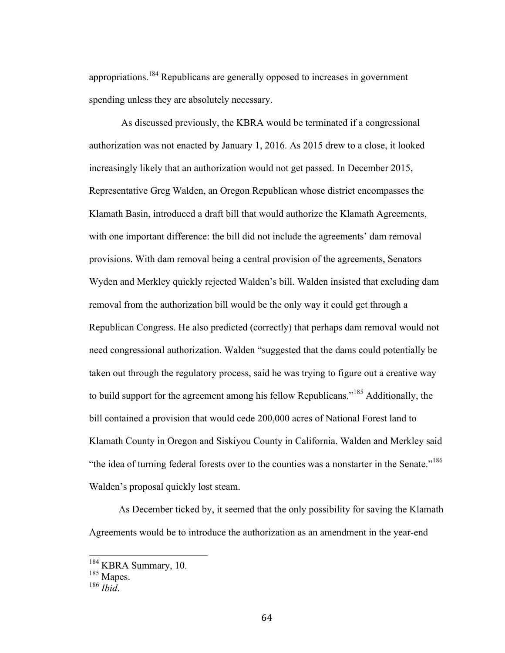appropriations.<sup>184</sup> Republicans are generally opposed to increases in government spending unless they are absolutely necessary.

As discussed previously, the KBRA would be terminated if a congressional authorization was not enacted by January 1, 2016. As 2015 drew to a close, it looked increasingly likely that an authorization would not get passed. In December 2015, Representative Greg Walden, an Oregon Republican whose district encompasses the Klamath Basin, introduced a draft bill that would authorize the Klamath Agreements, with one important difference: the bill did not include the agreements' dam removal provisions. With dam removal being a central provision of the agreements, Senators Wyden and Merkley quickly rejected Walden's bill. Walden insisted that excluding dam removal from the authorization bill would be the only way it could get through a Republican Congress. He also predicted (correctly) that perhaps dam removal would not need congressional authorization. Walden "suggested that the dams could potentially be taken out through the regulatory process, said he was trying to figure out a creative way to build support for the agreement among his fellow Republicans."<sup>185</sup> Additionally, the bill contained a provision that would cede 200,000 acres of National Forest land to Klamath County in Oregon and Siskiyou County in California. Walden and Merkley said "the idea of turning federal forests over to the counties was a nonstarter in the Senate."<sup>186</sup> Walden's proposal quickly lost steam.

As December ticked by, it seemed that the only possibility for saving the Klamath Agreements would be to introduce the authorization as an amendment in the year-end

 <sup>184</sup> KBRA Summary, 10.

<sup>&</sup>lt;sup>185</sup> Mapes.

<sup>186</sup> *Ibid*.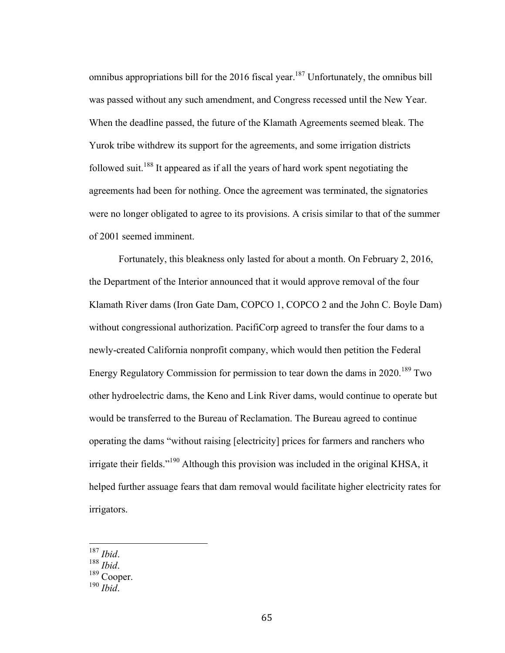omnibus appropriations bill for the 2016 fiscal year.<sup>187</sup> Unfortunately, the omnibus bill was passed without any such amendment, and Congress recessed until the New Year. When the deadline passed, the future of the Klamath Agreements seemed bleak. The Yurok tribe withdrew its support for the agreements, and some irrigation districts followed suit.<sup>188</sup> It appeared as if all the years of hard work spent negotiating the agreements had been for nothing. Once the agreement was terminated, the signatories were no longer obligated to agree to its provisions. A crisis similar to that of the summer of 2001 seemed imminent.

Fortunately, this bleakness only lasted for about a month. On February 2, 2016, the Department of the Interior announced that it would approve removal of the four Klamath River dams (Iron Gate Dam, COPCO 1, COPCO 2 and the John C. Boyle Dam) without congressional authorization. PacifiCorp agreed to transfer the four dams to a newly-created California nonprofit company, which would then petition the Federal Energy Regulatory Commission for permission to tear down the dams in  $2020$ .<sup>189</sup> Two other hydroelectric dams, the Keno and Link River dams, would continue to operate but would be transferred to the Bureau of Reclamation. The Bureau agreed to continue operating the dams "without raising [electricity] prices for farmers and ranchers who irrigate their fields."<sup>190</sup> Although this provision was included in the original KHSA, it helped further assuage fears that dam removal would facilitate higher electricity rates for irrigators.

 <sup>187</sup> *Ibid*. <sup>188</sup> *Ibid*. <sup>189</sup> Cooper.

<sup>190</sup> *Ibid*.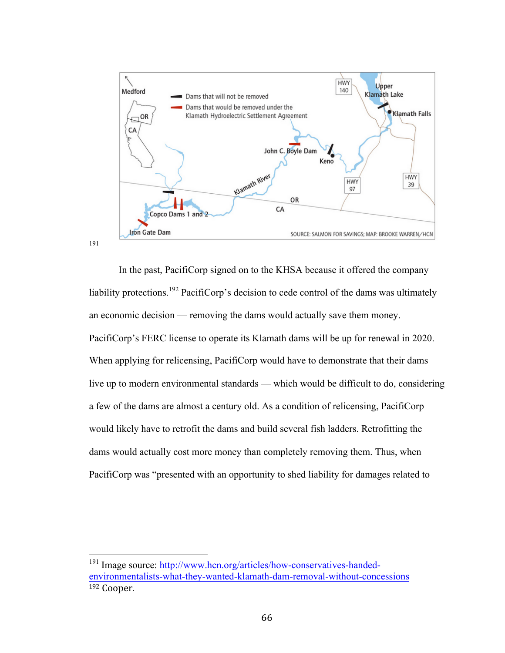

In the past, PacifiCorp signed on to the KHSA because it offered the company liability protections.<sup>192</sup> PacifiCorp's decision to cede control of the dams was ultimately an economic decision — removing the dams would actually save them money. PacifiCorp's FERC license to operate its Klamath dams will be up for renewal in 2020. When applying for relicensing, PacifiCorp would have to demonstrate that their dams live up to modern environmental standards — which would be difficult to do, considering a few of the dams are almost a century old. As a condition of relicensing, PacifiCorp would likely have to retrofit the dams and build several fish ladders. Retrofitting the dams would actually cost more money than completely removing them. Thus, when PacifiCorp was "presented with an opportunity to shed liability for damages related to

<sup>&</sup>lt;sup>191</sup> Image source: http://www.hcn.org/articles/how-conservatives-handedenvironmentalists-what-they-wanted-klamath-dam-removal-without-concessions <sup>192</sup> Cooper.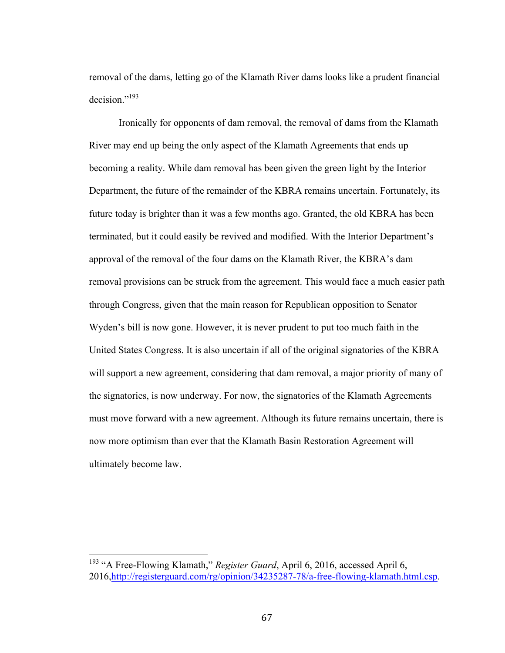removal of the dams, letting go of the Klamath River dams looks like a prudent financial decision."193

Ironically for opponents of dam removal, the removal of dams from the Klamath River may end up being the only aspect of the Klamath Agreements that ends up becoming a reality. While dam removal has been given the green light by the Interior Department, the future of the remainder of the KBRA remains uncertain. Fortunately, its future today is brighter than it was a few months ago. Granted, the old KBRA has been terminated, but it could easily be revived and modified. With the Interior Department's approval of the removal of the four dams on the Klamath River, the KBRA's dam removal provisions can be struck from the agreement. This would face a much easier path through Congress, given that the main reason for Republican opposition to Senator Wyden's bill is now gone. However, it is never prudent to put too much faith in the United States Congress. It is also uncertain if all of the original signatories of the KBRA will support a new agreement, considering that dam removal, a major priority of many of the signatories, is now underway. For now, the signatories of the Klamath Agreements must move forward with a new agreement. Although its future remains uncertain, there is now more optimism than ever that the Klamath Basin Restoration Agreement will ultimately become law.

<sup>&</sup>lt;sup>193</sup> "A Free-Flowing Klamath," *Register Guard*, April 6, 2016, accessed April 6, 2016,http://registerguard.com/rg/opinion/34235287-78/a-free-flowing-klamath.html.csp.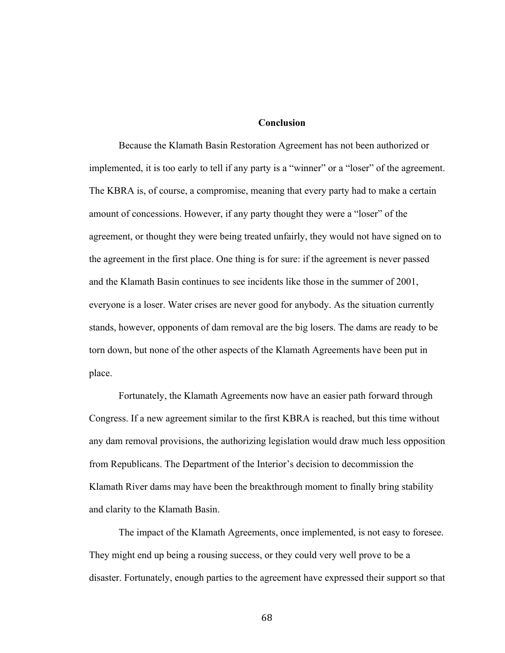#### **Conclusion**

Because the Klamath Basin Restoration Agreement has not been authorized or implemented, it is too early to tell if any party is a "winner" or a "loser" of the agreement. The KBRA is, of course, a compromise, meaning that every party had to make a certain amount of concessions. However, if any party thought they were a "loser" of the agreement, or thought they were being treated unfairly, they would not have signed on to the agreement in the first place. One thing is for sure: if the agreement is never passed and the Klamath Basin continues to see incidents like those in the summer of 2001, everyone is a loser. Water crises are never good for anybody. As the situation currently stands, however, opponents of dam removal are the big losers. The dams are ready to be torn down, but none of the other aspects of the Klamath Agreements have been put in place.

Fortunately, the Klamath Agreements now have an easier path forward through Congress. If a new agreement similar to the first KBRA is reached, but this time without any dam removal provisions, the authorizing legislation would draw much less opposition from Republicans. The Department of the Interior's decision to decommission the Klamath River dams may have been the breakthrough moment to finally bring stability and clarity to the Klamath Basin.

The impact of the Klamath Agreements, once implemented, is not easy to foresee. They might end up being a rousing success, or they could very well prove to be a disaster. Fortunately, enough parties to the agreement have expressed their support so that

68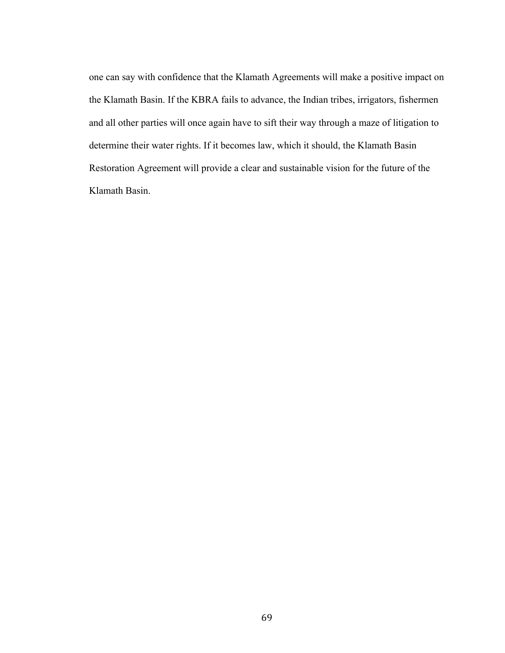one can say with confidence that the Klamath Agreements will make a positive impact on the Klamath Basin. If the KBRA fails to advance, the Indian tribes, irrigators, fishermen and all other parties will once again have to sift their way through a maze of litigation to determine their water rights. If it becomes law, which it should, the Klamath Basin Restoration Agreement will provide a clear and sustainable vision for the future of the Klamath Basin.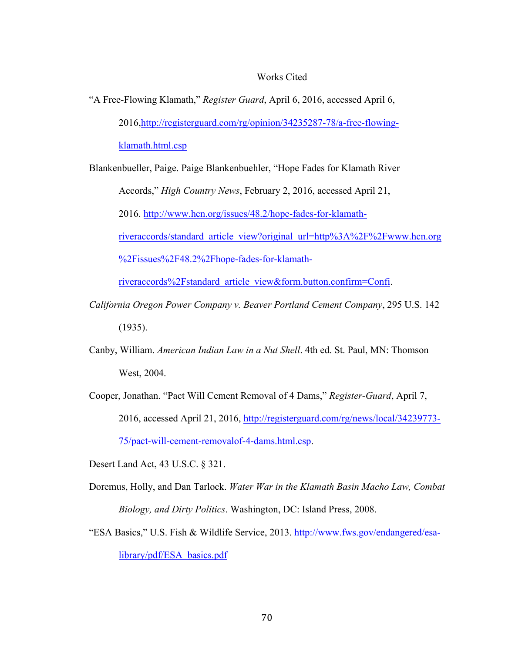## Works Cited

"A Free-Flowing Klamath," *Register Guard*, April 6, 2016, accessed April 6, 2016,http://registerguard.com/rg/opinion/34235287-78/a-free-flowingklamath.html.csp

Blankenbueller, Paige. Paige Blankenbuehler, "Hope Fades for Klamath River Accords," *High Country News*, February 2, 2016, accessed April 21,

2016. http://www.hcn.org/issues/48.2/hope-fades-for-klamath-

riveraccords/standard\_article\_view?original\_url=http%3A%2F%2Fwww.hcn.org

%2Fissues%2F48.2%2Fhope-fades-for-klamath-

riveraccords%2Fstandard\_article\_view&form.button.confirm=Confi.

- *California Oregon Power Company v. Beaver Portland Cement Company*, 295 U.S. 142 (1935).
- Canby, William. *American Indian Law in a Nut Shell*. 4th ed. St. Paul, MN: Thomson West, 2004.
- Cooper, Jonathan. "Pact Will Cement Removal of 4 Dams," *Register-Guard*, April 7, 2016, accessed April 21, 2016, http://registerguard.com/rg/news/local/34239773- 75/pact-will-cement-removalof-4-dams.html.csp.
- Desert Land Act, 43 U.S.C. § 321.
- Doremus, Holly, and Dan Tarlock. *Water War in the Klamath Basin Macho Law, Combat Biology, and Dirty Politics*. Washington, DC: Island Press, 2008.
- "ESA Basics," U.S. Fish & Wildlife Service, 2013. http://www.fws.gov/endangered/esalibrary/pdf/ESA\_basics.pdf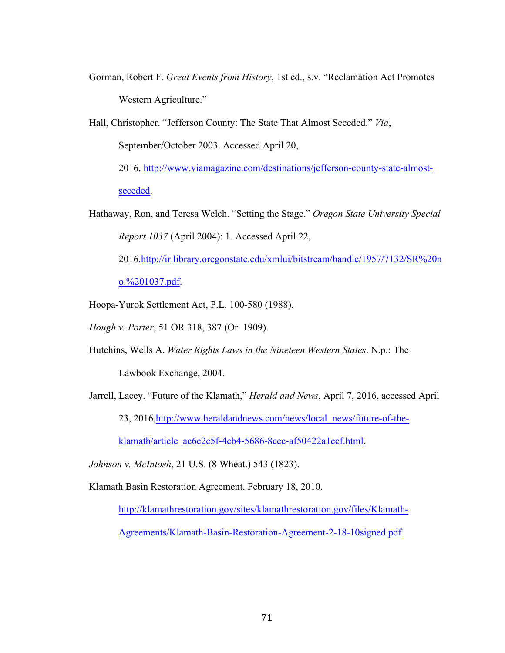Gorman, Robert F. *Great Events from History*, 1st ed., s.v. "Reclamation Act Promotes Western Agriculture."

Hall, Christopher. "Jefferson County: The State That Almost Seceded." *Via*, September/October 2003. Accessed April 20, 2016. http://www.viamagazine.com/destinations/jefferson-county-state-almost-

seceded.

Hathaway, Ron, and Teresa Welch. "Setting the Stage." *Oregon State University Special Report 1037* (April 2004): 1. Accessed April 22,

2016.http://ir.library.oregonstate.edu/xmlui/bitstream/handle/1957/7132/SR%20n

o.%201037.pdf.

- Hoopa-Yurok Settlement Act, P.L. 100-580 (1988).
- *Hough v. Porter*, 51 OR 318, 387 (Or. 1909).
- Hutchins, Wells A. *Water Rights Laws in the Nineteen Western States*. N.p.: The

Lawbook Exchange, 2004.

Jarrell, Lacey. "Future of the Klamath," *Herald and News*, April 7, 2016, accessed April

23, 2016,http://www.heraldandnews.com/news/local\_news/future-of-the-

klamath/article\_ae6c2c5f-4cb4-5686-8cee-af50422a1ccf.html.

*Johnson v. McIntosh*, 21 U.S. (8 Wheat.) 543 (1823).

Klamath Basin Restoration Agreement. February 18, 2010.

http://klamathrestoration.gov/sites/klamathrestoration.gov/files/Klamath-

Agreements/Klamath-Basin-Restoration-Agreement-2-18-10signed.pdf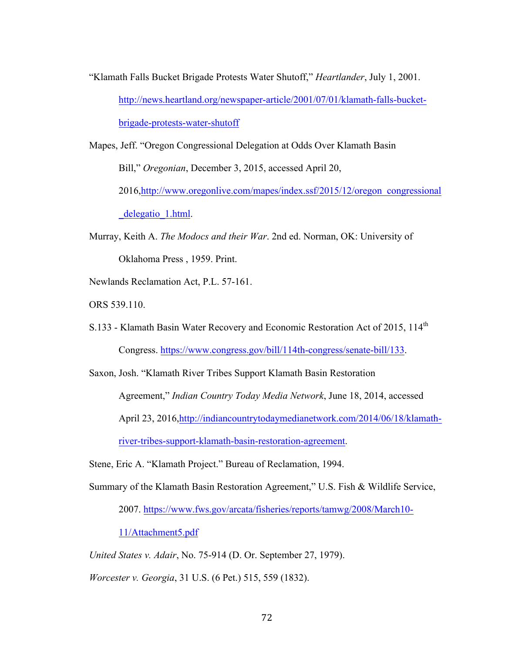"Klamath Falls Bucket Brigade Protests Water Shutoff," *Heartlander*, July 1, 2001. http://news.heartland.org/newspaper-article/2001/07/01/klamath-falls-bucketbrigade-protests-water-shutoff

Mapes, Jeff. "Oregon Congressional Delegation at Odds Over Klamath Basin Bill," *Oregonian*, December 3, 2015, accessed April 20, 2016,http://www.oregonlive.com/mapes/index.ssf/2015/12/oregon\_congressional delegatio 1.html.

- Murray, Keith A. *The Modocs and their War*. 2nd ed. Norman, OK: University of Oklahoma Press , 1959. Print.
- Newlands Reclamation Act, P.L. 57-161.

ORS 539.110.

S.133 - Klamath Basin Water Recovery and Economic Restoration Act of 2015, 114<sup>th</sup> Congress. https://www.congress.gov/bill/114th-congress/senate-bill/133.

Saxon, Josh. "Klamath River Tribes Support Klamath Basin Restoration Agreement," *Indian Country Today Media Network*, June 18, 2014, accessed April 23, 2016,http://indiancountrytodaymedianetwork.com/2014/06/18/klamathriver-tribes-support-klamath-basin-restoration-agreement.

Stene, Eric A. "Klamath Project." Bureau of Reclamation, 1994.

Summary of the Klamath Basin Restoration Agreement," U.S. Fish & Wildlife Service,

2007. https://www.fws.gov/arcata/fisheries/reports/tamwg/2008/March10-

11/Attachment5.pdf

*United States v. Adair*, No. 75-914 (D. Or. September 27, 1979).

*Worcester v. Georgia*, 31 U.S. (6 Pet.) 515, 559 (1832).